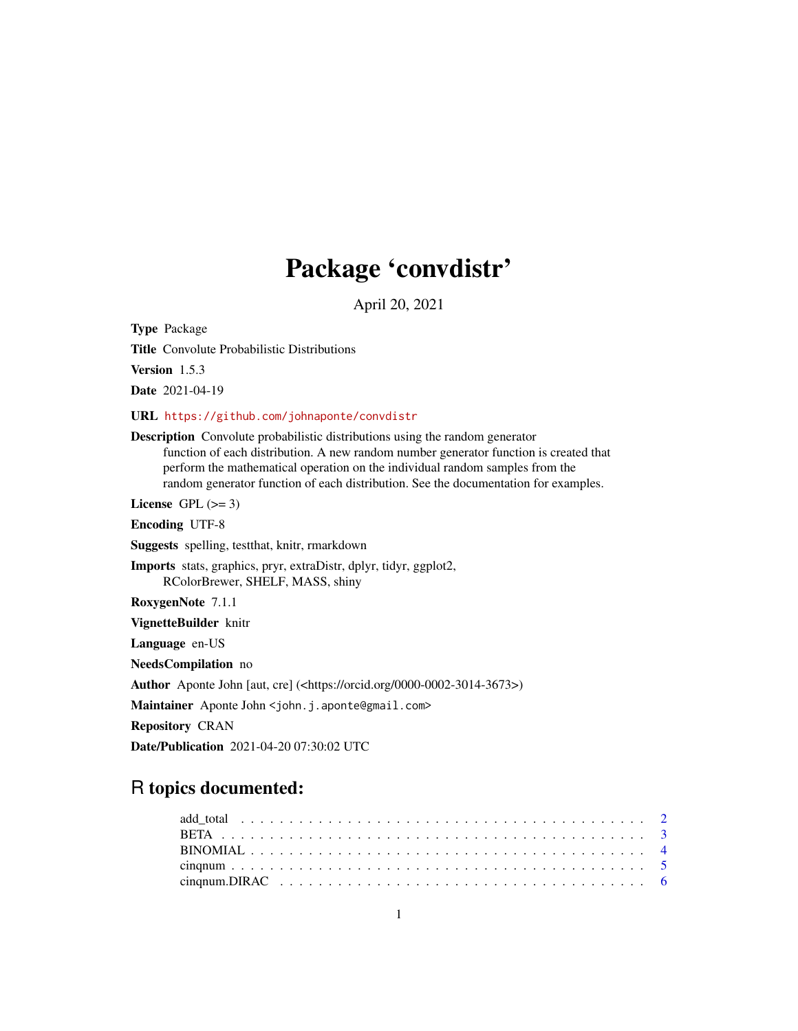# Package 'convdistr'

April 20, 2021

<span id="page-0-0"></span>Type Package

Title Convolute Probabilistic Distributions

Version 1.5.3

Date 2021-04-19

URL <https://github.com/johnaponte/convdistr>

Description Convolute probabilistic distributions using the random generator function of each distribution. A new random number generator function is created that perform the mathematical operation on the individual random samples from the random generator function of each distribution. See the documentation for examples.

License GPL  $(>= 3)$ 

Encoding UTF-8

Suggests spelling, testthat, knitr, rmarkdown

Imports stats, graphics, pryr, extraDistr, dplyr, tidyr, ggplot2, RColorBrewer, SHELF, MASS, shiny

RoxygenNote 7.1.1

VignetteBuilder knitr

Language en-US

NeedsCompilation no

Author Aponte John [aut, cre] (<https://orcid.org/0000-0002-3014-3673>)

Maintainer Aponte John <john.j.aponte@gmail.com>

Repository CRAN

Date/Publication 2021-04-20 07:30:02 UTC

# R topics documented: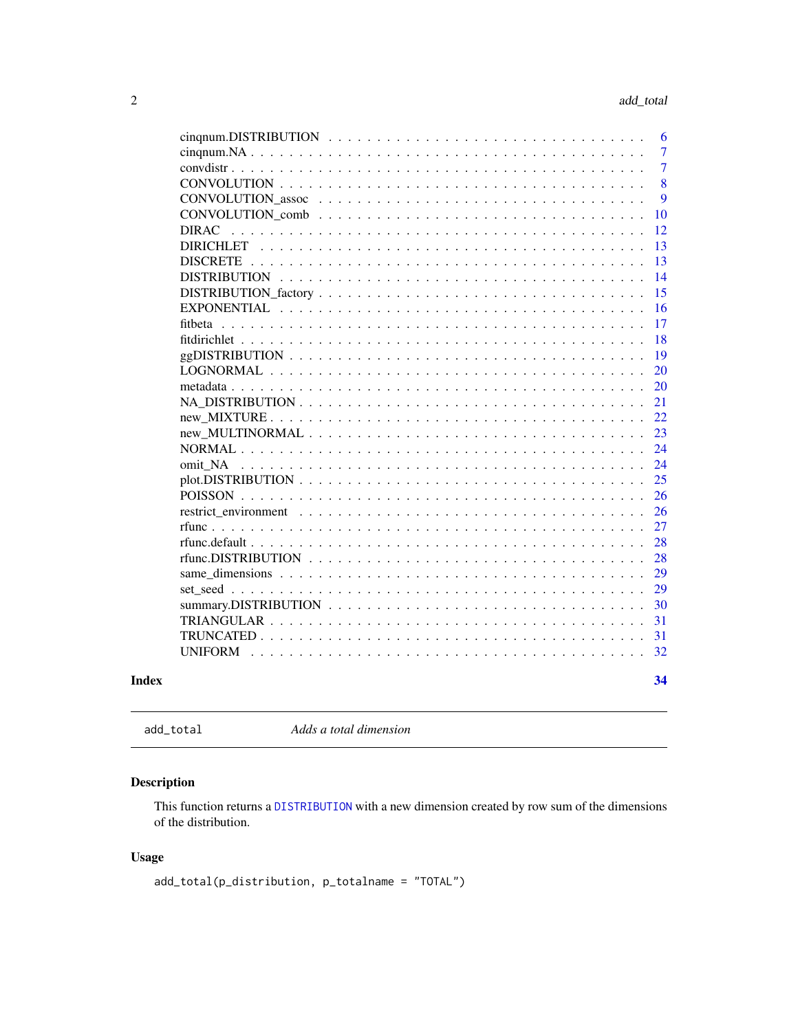<span id="page-1-0"></span>

| Index |                     |  |  |  |  |  |  |  |  |  |  |  |  |  | 34             |
|-------|---------------------|--|--|--|--|--|--|--|--|--|--|--|--|--|----------------|
|       | <b>UNIFORM</b>      |  |  |  |  |  |  |  |  |  |  |  |  |  | 32             |
|       |                     |  |  |  |  |  |  |  |  |  |  |  |  |  | 31             |
|       |                     |  |  |  |  |  |  |  |  |  |  |  |  |  | 31             |
|       |                     |  |  |  |  |  |  |  |  |  |  |  |  |  | 30             |
|       |                     |  |  |  |  |  |  |  |  |  |  |  |  |  | 29             |
|       |                     |  |  |  |  |  |  |  |  |  |  |  |  |  | 29             |
|       |                     |  |  |  |  |  |  |  |  |  |  |  |  |  | 28             |
|       |                     |  |  |  |  |  |  |  |  |  |  |  |  |  | 28             |
|       |                     |  |  |  |  |  |  |  |  |  |  |  |  |  | 27             |
|       |                     |  |  |  |  |  |  |  |  |  |  |  |  |  | 26             |
|       |                     |  |  |  |  |  |  |  |  |  |  |  |  |  | 26             |
|       |                     |  |  |  |  |  |  |  |  |  |  |  |  |  | 25             |
|       | omit NA             |  |  |  |  |  |  |  |  |  |  |  |  |  | 24             |
|       |                     |  |  |  |  |  |  |  |  |  |  |  |  |  | 24             |
|       |                     |  |  |  |  |  |  |  |  |  |  |  |  |  | 23             |
|       |                     |  |  |  |  |  |  |  |  |  |  |  |  |  | 22             |
|       |                     |  |  |  |  |  |  |  |  |  |  |  |  |  | 21             |
|       |                     |  |  |  |  |  |  |  |  |  |  |  |  |  | 20             |
|       | <b>LOGNORMAL</b>    |  |  |  |  |  |  |  |  |  |  |  |  |  | 20             |
|       |                     |  |  |  |  |  |  |  |  |  |  |  |  |  | 19             |
|       |                     |  |  |  |  |  |  |  |  |  |  |  |  |  | 18             |
|       | fitbeta             |  |  |  |  |  |  |  |  |  |  |  |  |  | 17             |
|       | <b>EXPONENTIAL</b>  |  |  |  |  |  |  |  |  |  |  |  |  |  | 16             |
|       |                     |  |  |  |  |  |  |  |  |  |  |  |  |  | 15             |
|       | <b>DISTRIBUTION</b> |  |  |  |  |  |  |  |  |  |  |  |  |  | 14             |
|       | <b>DISCRETE</b>     |  |  |  |  |  |  |  |  |  |  |  |  |  | 13             |
|       | <b>DIRICHLET</b>    |  |  |  |  |  |  |  |  |  |  |  |  |  | 13             |
|       |                     |  |  |  |  |  |  |  |  |  |  |  |  |  | 10<br>12       |
|       |                     |  |  |  |  |  |  |  |  |  |  |  |  |  | 9              |
|       |                     |  |  |  |  |  |  |  |  |  |  |  |  |  | 8              |
|       |                     |  |  |  |  |  |  |  |  |  |  |  |  |  | $\overline{7}$ |
|       |                     |  |  |  |  |  |  |  |  |  |  |  |  |  | $\overline{7}$ |
|       |                     |  |  |  |  |  |  |  |  |  |  |  |  |  | 6              |
|       |                     |  |  |  |  |  |  |  |  |  |  |  |  |  |                |

add\_total *Adds a total dimension*

# Description

This function returns a [DISTRIBUTION](#page-13-1) with a new dimension created by row sum of the dimensions of the distribution.

```
add_total(p_distribution, p_totalname = "TOTAL")
```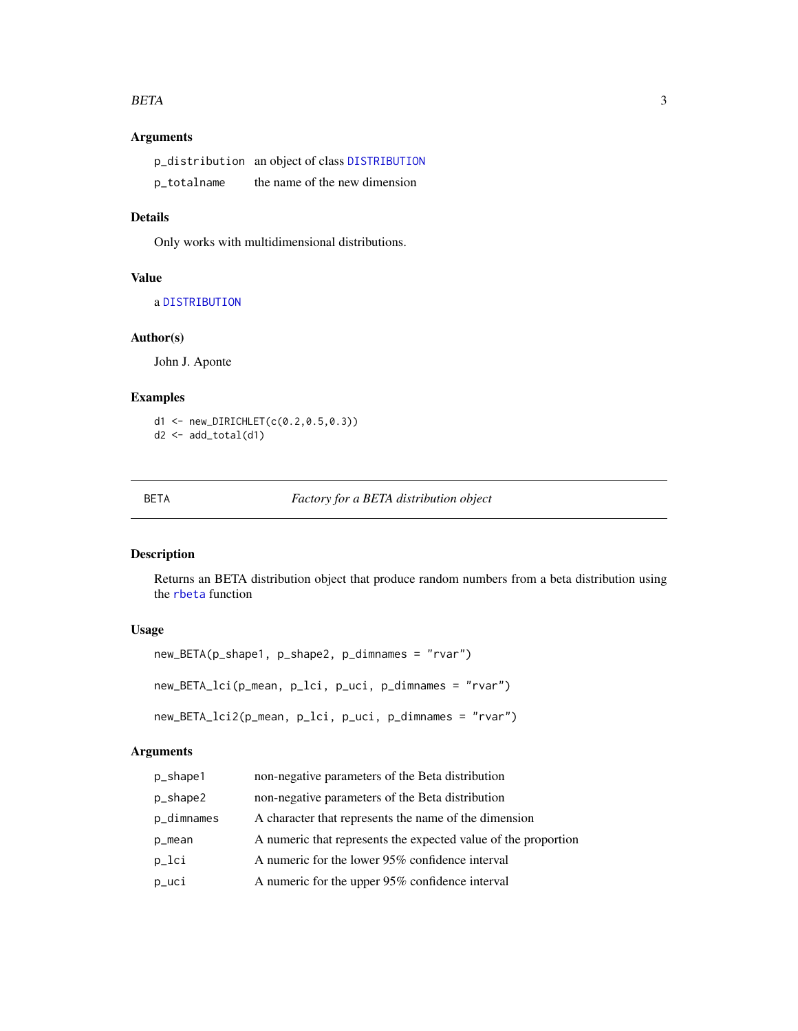#### <span id="page-2-0"></span>BETA 3

# Arguments

|             | p_distribution an object of class DISTRIBUTION |
|-------------|------------------------------------------------|
| p_totalname | the name of the new dimension                  |

# Details

Only works with multidimensional distributions.

#### Value

a [DISTRIBUTION](#page-13-1)

# Author(s)

John J. Aponte

# Examples

d1 <- new\_DIRICHLET(c(0.2,0.5,0.3)) d2 <- add\_total(d1)

<span id="page-2-1"></span>

#### BETA *Factory for a BETA distribution object*

# Description

Returns an BETA distribution object that produce random numbers from a beta distribution using the [rbeta](#page-0-0) function

# Usage

```
new_BETA(p_shape1, p_shape2, p_dimnames = "rvar")
new_BETA_lci(p_mean, p_lci, p_uci, p_dimnames = "rvar")
new_BETA_lci2(p_mean, p_lci, p_uci, p_dimnames = "rvar")
```
# Arguments

| p_shape1   | non-negative parameters of the Beta distribution               |
|------------|----------------------------------------------------------------|
| p_shape2   | non-negative parameters of the Beta distribution               |
| p_dimnames | A character that represents the name of the dimension          |
| p_mean     | A numeric that represents the expected value of the proportion |
| p_lci      | A numeric for the lower 95% confidence interval                |
| p_uci      | A numeric for the upper 95% confidence interval                |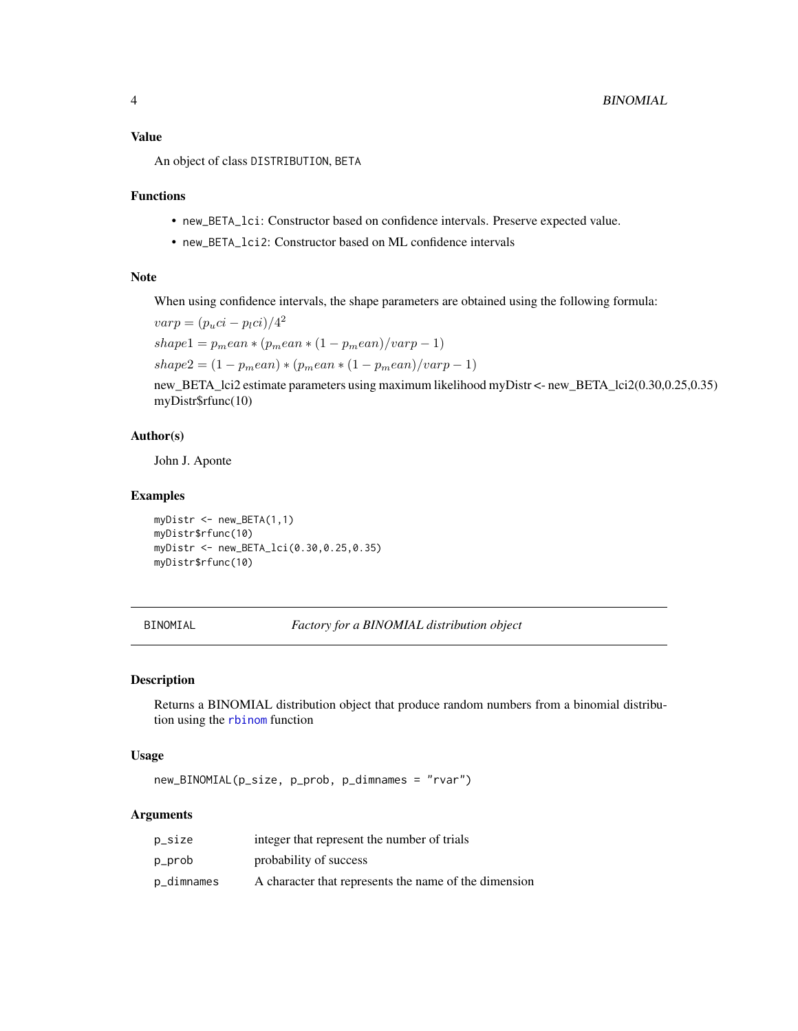# <span id="page-3-0"></span>Value

An object of class DISTRIBUTION, BETA

# Functions

- new\_BETA\_lci: Constructor based on confidence intervals. Preserve expected value.
- new\_BETA\_lci2: Constructor based on ML confidence intervals

#### Note

When using confidence intervals, the shape parameters are obtained using the following formula:

$$
varp = (p_uci - p_lci)/4^2
$$
  
shape1 = p<sub>m</sub>ean \* (p<sub>m</sub>ean \* (1 - p<sub>m</sub>ean)/varp - 1)  
shape2 = (1 - p<sub>m</sub>ean) \* (p<sub>m</sub>ean \* (1 - p<sub>m</sub>ean)/varp - 1)

new\_BETA\_lci2 estimate parameters using maximum likelihood myDistr <- new\_BETA\_lci2(0.30,0.25,0.35) myDistr\$rfunc(10)

# Author(s)

John J. Aponte

#### Examples

myDistr <- new\_BETA(1,1) myDistr\$rfunc(10) myDistr <- new\_BETA\_lci(0.30,0.25,0.35) myDistr\$rfunc(10)

BINOMIAL *Factory for a BINOMIAL distribution object*

#### Description

Returns a BINOMIAL distribution object that produce random numbers from a binomial distribution using the [rbinom](#page-0-0) function

#### Usage

new\_BINOMIAL(p\_size, p\_prob, p\_dimnames = "rvar")

# Arguments

| p_size     | integer that represent the number of trials           |
|------------|-------------------------------------------------------|
| p_prob     | probability of success                                |
| p_dimnames | A character that represents the name of the dimension |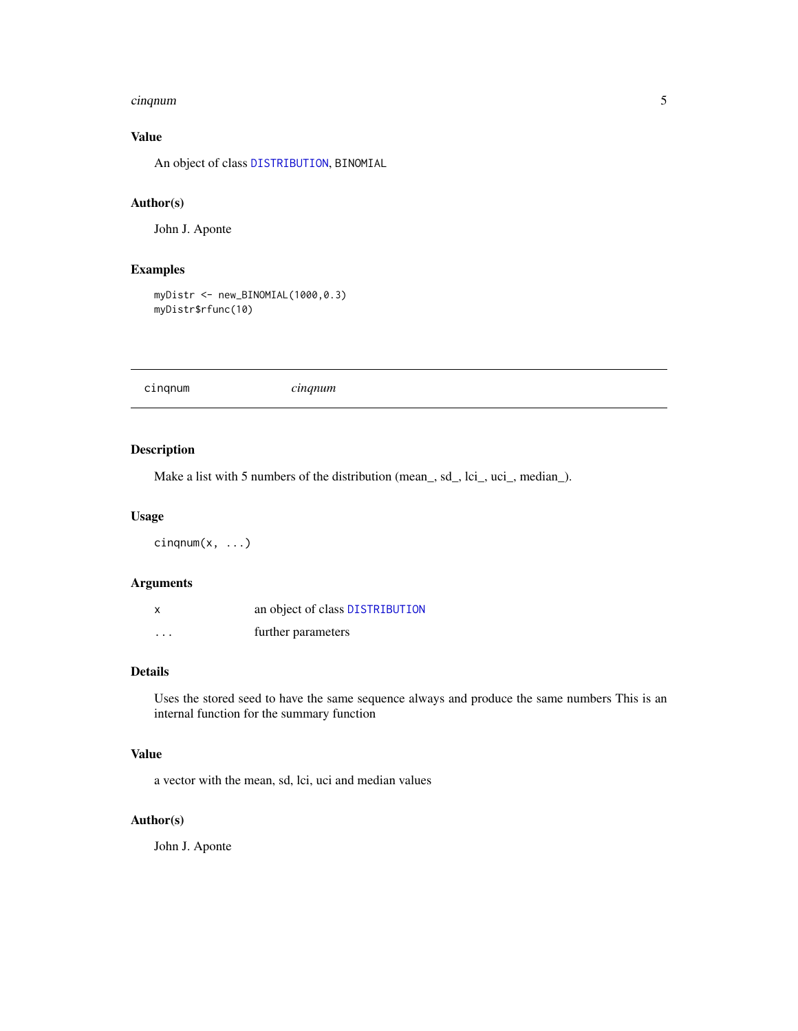#### <span id="page-4-0"></span>cinqnum 5

# Value

An object of class [DISTRIBUTION](#page-13-1), BINOMIAL

# Author(s)

John J. Aponte

# Examples

```
myDistr <- new_BINOMIAL(1000,0.3)
myDistr$rfunc(10)
```
cinqnum *cinqnum*

# Description

Make a list with 5 numbers of the distribution (mean\_, sd\_, lci\_, uci\_, median\_).

#### Usage

cinqnum(x, ...)

#### Arguments

| $\boldsymbol{\mathsf{x}}$ | an object of class DISTRIBUTION |
|---------------------------|---------------------------------|
| .                         | further parameters              |

# Details

Uses the stored seed to have the same sequence always and produce the same numbers This is an internal function for the summary function

# Value

a vector with the mean, sd, lci, uci and median values

## Author(s)

John J. Aponte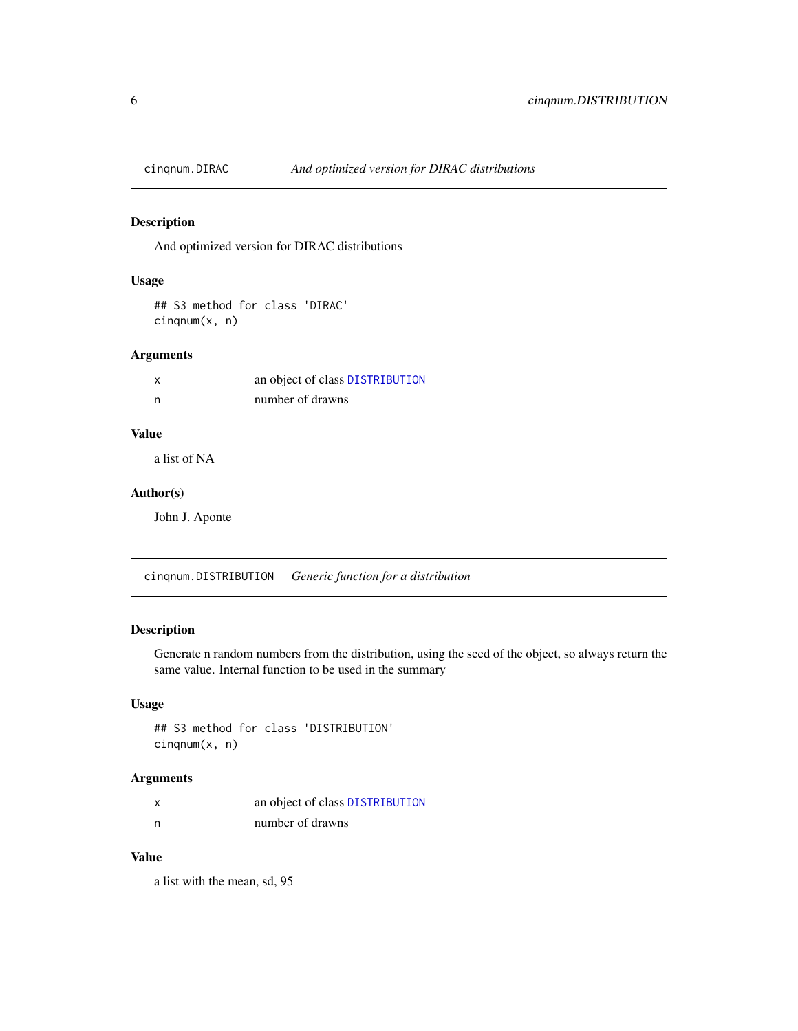<span id="page-5-0"></span>

And optimized version for DIRAC distributions

### Usage

```
## S3 method for class 'DIRAC'
cinqnum(x, n)
```
# Arguments

|     | an object of class DISTRIBUTION |
|-----|---------------------------------|
| - n | number of drawns                |

# Value

a list of NA

# Author(s)

John J. Aponte

cinqnum.DISTRIBUTION *Generic function for a distribution*

# Description

Generate n random numbers from the distribution, using the seed of the object, so always return the same value. Internal function to be used in the summary

#### Usage

## S3 method for class 'DISTRIBUTION' cinqnum(x, n)

# Arguments

| x | an object of class DISTRIBUTION |
|---|---------------------------------|
| n | number of drawns                |

# Value

a list with the mean, sd, 95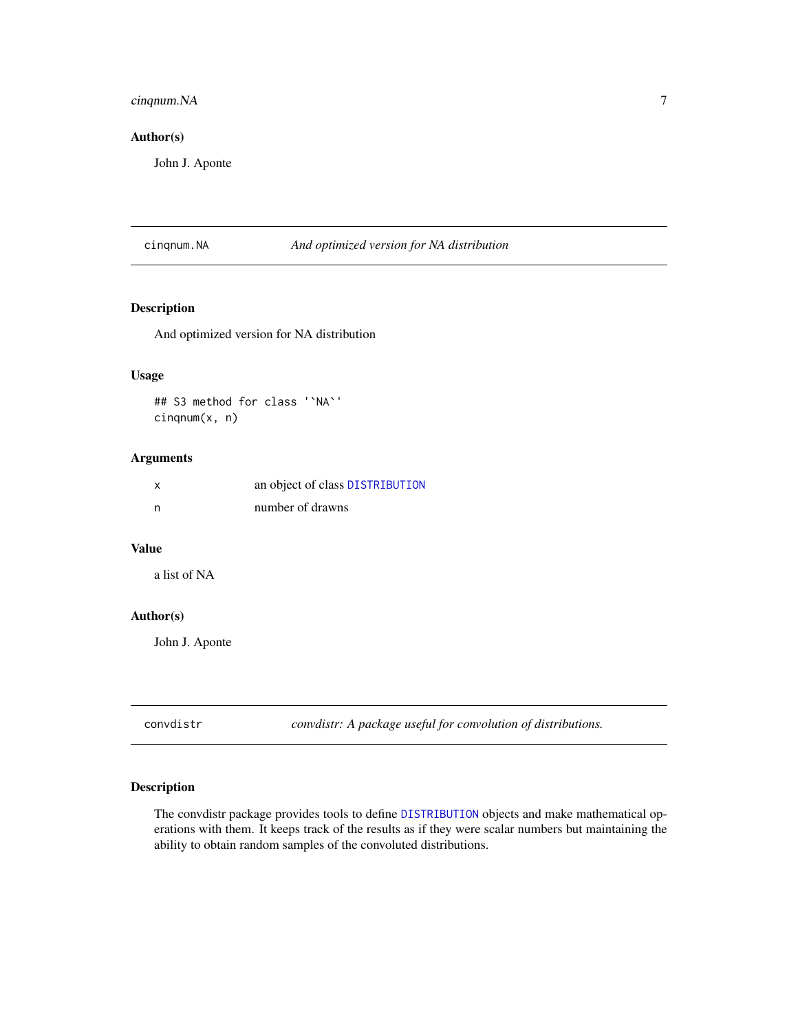# <span id="page-6-0"></span>cinqnum.NA 7

#### Author(s)

John J. Aponte

cinqnum.NA *And optimized version for NA distribution*

# Description

And optimized version for NA distribution

#### Usage

## S3 method for class '`NA`' cinqnum(x, n)

## Arguments

|     | an object of class DISTRIBUTION |
|-----|---------------------------------|
| - n | number of drawns                |

# Value

a list of NA

# Author(s)

John J. Aponte

convdistr *convdistr: A package useful for convolution of distributions.*

# Description

The convdistr package provides tools to define [DISTRIBUTION](#page-13-1) objects and make mathematical operations with them. It keeps track of the results as if they were scalar numbers but maintaining the ability to obtain random samples of the convoluted distributions.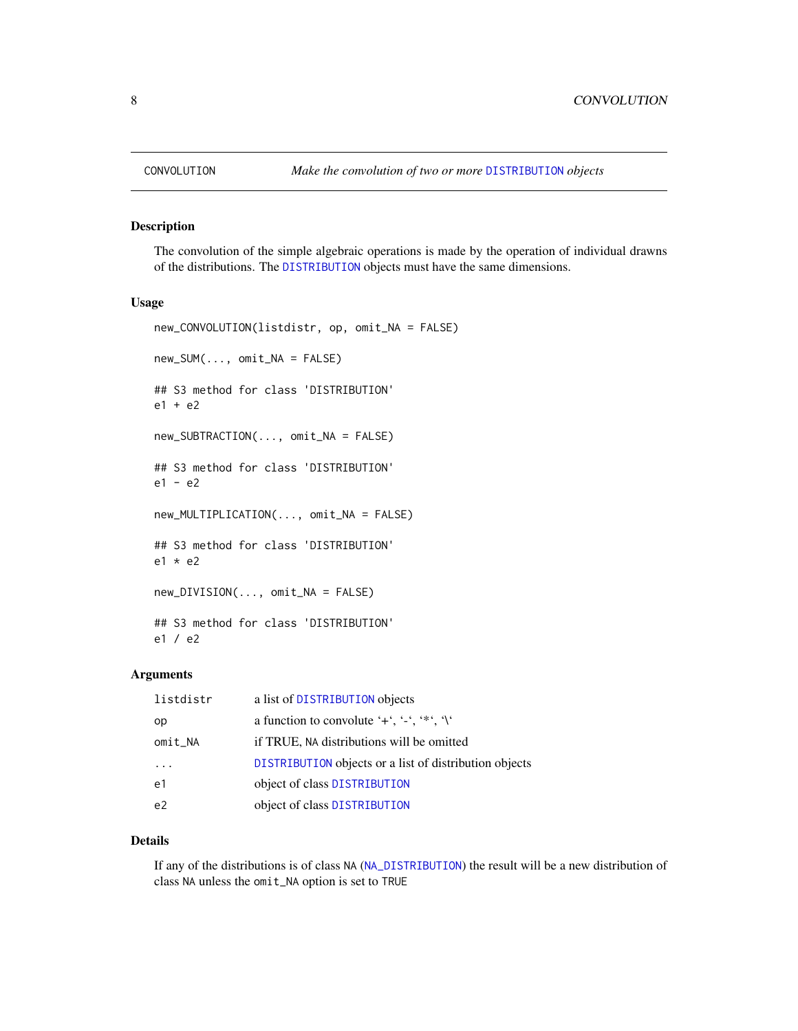The convolution of the simple algebraic operations is made by the operation of individual drawns of the distributions. The [DISTRIBUTION](#page-13-1) objects must have the same dimensions.

#### Usage

```
new_CONVOLUTION(listdistr, op, omit_NA = FALSE)
new_SUM(..., omit_NA = FALSE)
## S3 method for class 'DISTRIBUTION'
e1 + e2
new_SUBTRACTION(..., omit_NA = FALSE)
## S3 method for class 'DISTRIBUTION'
e1 - e2
new_MULTIPLICATION(..., omit_NA = FALSE)
## S3 method for class 'DISTRIBUTION'
e1 * e2new_DIVISION(..., omit_NA = FALSE)
## S3 method for class 'DISTRIBUTION'
e1 / e2
```
#### Arguments

| listdistr      | a list of DISTRIBUTION objects                         |
|----------------|--------------------------------------------------------|
| op             | a function to convolute '+', '-', '*', '\'             |
| omit_NA        | if TRUE, NA distributions will be omitted              |
|                | DISTRIBUTION objects or a list of distribution objects |
| e1             | object of class DISTRIBUTION                           |
| e <sub>2</sub> | object of class DISTRIBUTION                           |

#### Details

If any of the distributions is of class NA ([NA\\_DISTRIBUTION](#page-20-1)) the result will be a new distribution of class NA unless the omit\_NA option is set to TRUE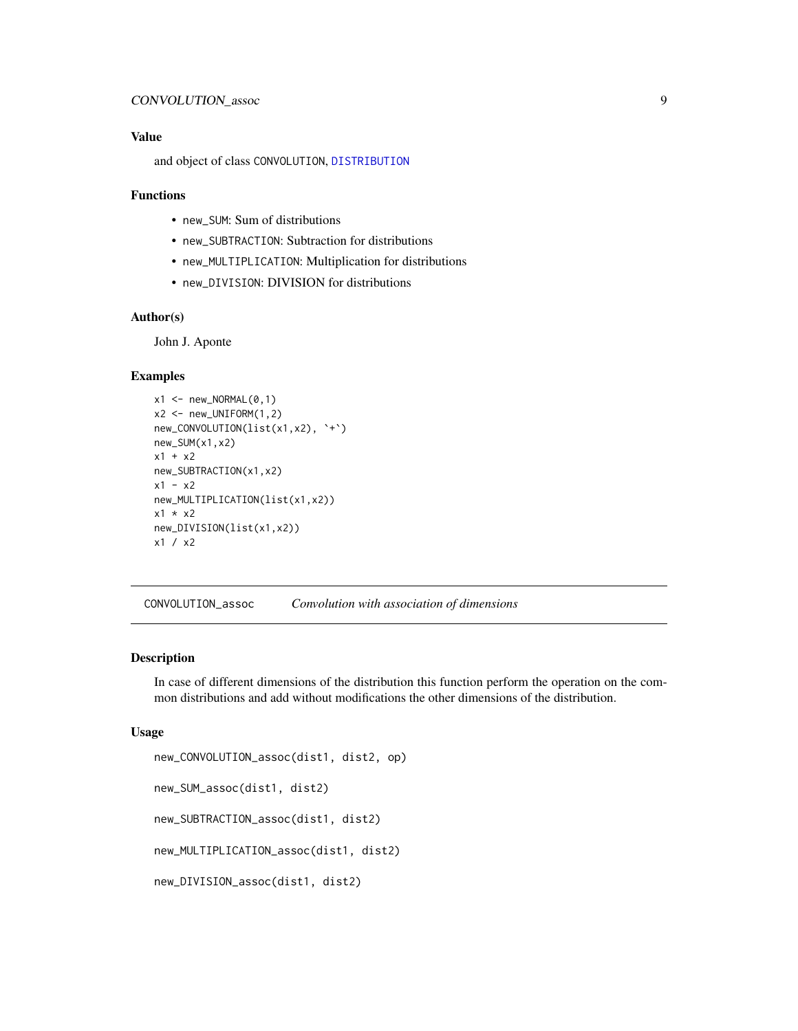#### <span id="page-8-0"></span>Value

and object of class CONVOLUTION, [DISTRIBUTION](#page-13-1)

#### Functions

- new\_SUM: Sum of distributions
- new\_SUBTRACTION: Subtraction for distributions
- new\_MULTIPLICATION: Multiplication for distributions
- new\_DIVISION: DIVISION for distributions

# Author(s)

John J. Aponte

#### Examples

```
x1 \leftarrow new_NORMAL(0,1)x2 \le - new_UNIFORM(1,2)
new_CONVOLUTION(list(x1,x2), `+`)
new_SUM(x1,x2)
x1 + x2
new_SUBTRACTION(x1,x2)
x1 - x2new_MULTIPLICATION(list(x1,x2))
x1 * x2
new_DIVISION(list(x1,x2))
x1 / x2
```
CONVOLUTION\_assoc *Convolution with association of dimensions*

#### Description

In case of different dimensions of the distribution this function perform the operation on the common distributions and add without modifications the other dimensions of the distribution.

```
new_CONVOLUTION_assoc(dist1, dist2, op)
new_SUM_assoc(dist1, dist2)
new_SUBTRACTION_assoc(dist1, dist2)
new_MULTIPLICATION_assoc(dist1, dist2)
new_DIVISION_assoc(dist1, dist2)
```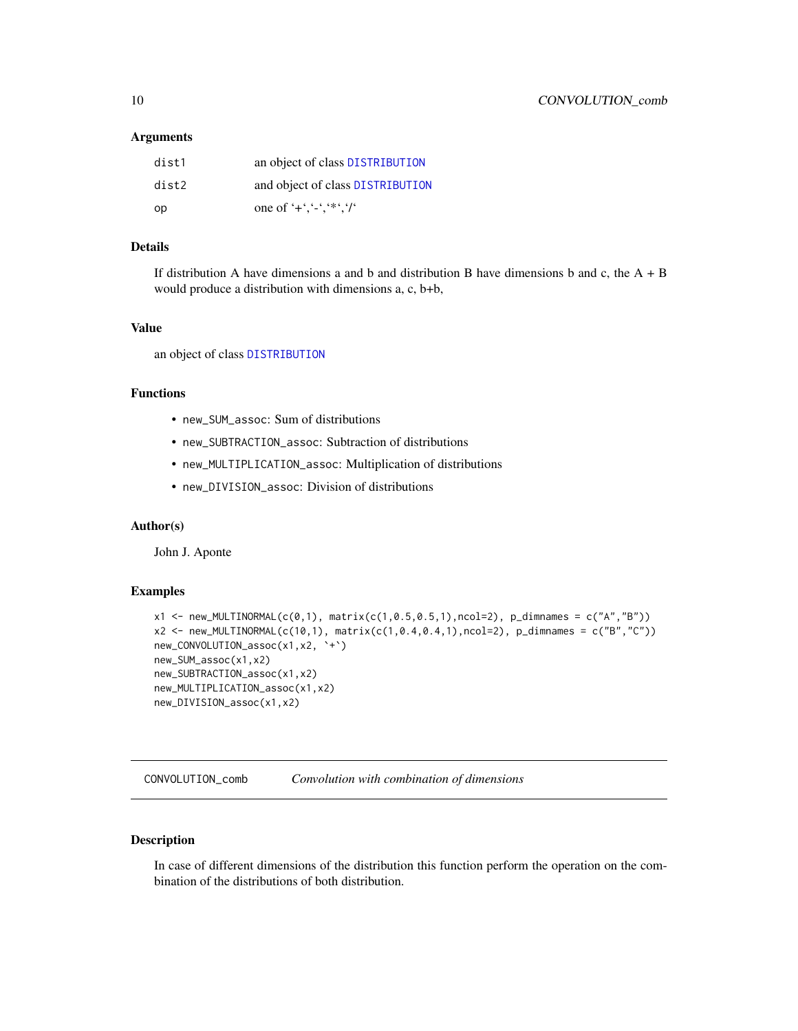#### <span id="page-9-0"></span>**Arguments**

| dist1 | an object of class DISTRIBUTION  |
|-------|----------------------------------|
| dist2 | and object of class DISTRIBUTION |
| op    | one of '+','-','*','/'           |

# Details

If distribution A have dimensions a and b and distribution B have dimensions b and c, the  $A + B$ would produce a distribution with dimensions a, c, b+b,

#### Value

an object of class [DISTRIBUTION](#page-13-1)

### Functions

- new\_SUM\_assoc: Sum of distributions
- new\_SUBTRACTION\_assoc: Subtraction of distributions
- new\_MULTIPLICATION\_assoc: Multiplication of distributions
- new\_DIVISION\_assoc: Division of distributions

#### Author(s)

John J. Aponte

#### Examples

```
x1 < - new_MULTINORMAL(c(0,1), matrix(c(1,0.5,0.5,1), ncol=2), p_dimnames = c("A", "B"))
x2 \le - new_MULTINORMAL(c(10,1), matrix(c(1,0.4,0.4,1),ncol=2), p_dimnames = c("B","C"))
new_CONVOLUTION_assoc(x1,x2, `+`)
new_SUM_assoc(x1,x2)
new_SUBTRACTION_assoc(x1,x2)
new_MULTIPLICATION_assoc(x1,x2)
new_DIVISION_assoc(x1,x2)
```
CONVOLUTION\_comb *Convolution with combination of dimensions*

# Description

In case of different dimensions of the distribution this function perform the operation on the combination of the distributions of both distribution.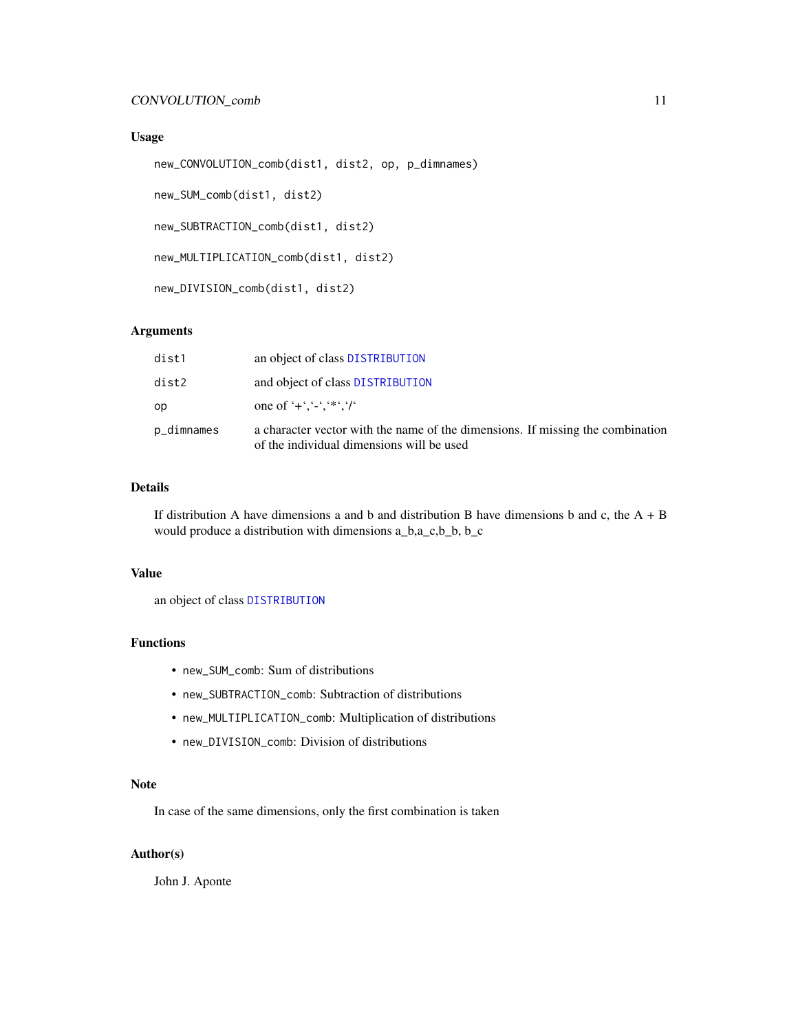#### <span id="page-10-0"></span>Usage

```
new_CONVOLUTION_comb(dist1, dist2, op, p_dimnames)
```
new\_SUM\_comb(dist1, dist2)

new\_SUBTRACTION\_comb(dist1, dist2)

new\_MULTIPLICATION\_comb(dist1, dist2)

new\_DIVISION\_comb(dist1, dist2)

#### Arguments

| dist1      | an object of class DISTRIBUTION                                                                                             |
|------------|-----------------------------------------------------------------------------------------------------------------------------|
| dist2      | and object of class DISTRIBUTION                                                                                            |
| op         | one of '+','-','*','/'                                                                                                      |
| p_dimnames | a character vector with the name of the dimensions. If missing the combination<br>of the individual dimensions will be used |

#### Details

If distribution A have dimensions a and b and distribution B have dimensions b and c, the  $A + B$ would produce a distribution with dimensions a\_b,a\_c,b\_b, b\_c

#### Value

an object of class [DISTRIBUTION](#page-13-1)

#### Functions

- new\_SUM\_comb: Sum of distributions
- new\_SUBTRACTION\_comb: Subtraction of distributions
- new\_MULTIPLICATION\_comb: Multiplication of distributions
- new\_DIVISION\_comb: Division of distributions

#### Note

In case of the same dimensions, only the first combination is taken

#### Author(s)

John J. Aponte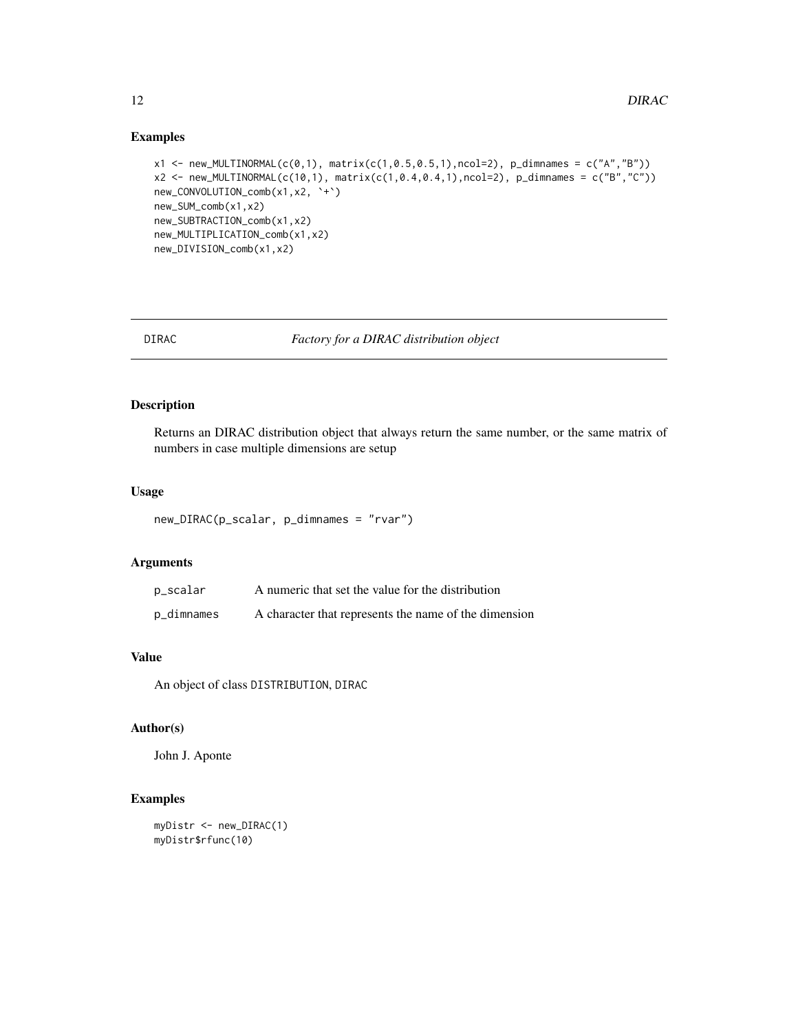# <span id="page-11-0"></span>Examples

```
x1 < - new_MULTINORMAL(c(0,1), matrix(c(1,0.5,0.5,1),ncol=2), p_dimnames = c("A","B"))
x2 \le - new_MULTINORMAL(c(10,1), matrix(c(1,0.4,0.4,1),ncol=2), p_dimnames = c("B","C"))
new_CONVOLUTION_comb(x1,x2, `+`)
new_SUM_comb(x1,x2)
new_SUBTRACTION_comb(x1,x2)
new_MULTIPLICATION_comb(x1,x2)
new_DIVISION_comb(x1,x2)
```
<span id="page-11-1"></span>DIRAC *Factory for a DIRAC distribution object*

# Description

Returns an DIRAC distribution object that always return the same number, or the same matrix of numbers in case multiple dimensions are setup

#### Usage

new\_DIRAC(p\_scalar, p\_dimnames = "rvar")

#### Arguments

| p_scalar   | A numeric that set the value for the distribution     |
|------------|-------------------------------------------------------|
| p_dimnames | A character that represents the name of the dimension |

#### Value

An object of class DISTRIBUTION, DIRAC

# Author(s)

John J. Aponte

#### Examples

```
myDistr <- new_DIRAC(1)
myDistr$rfunc(10)
```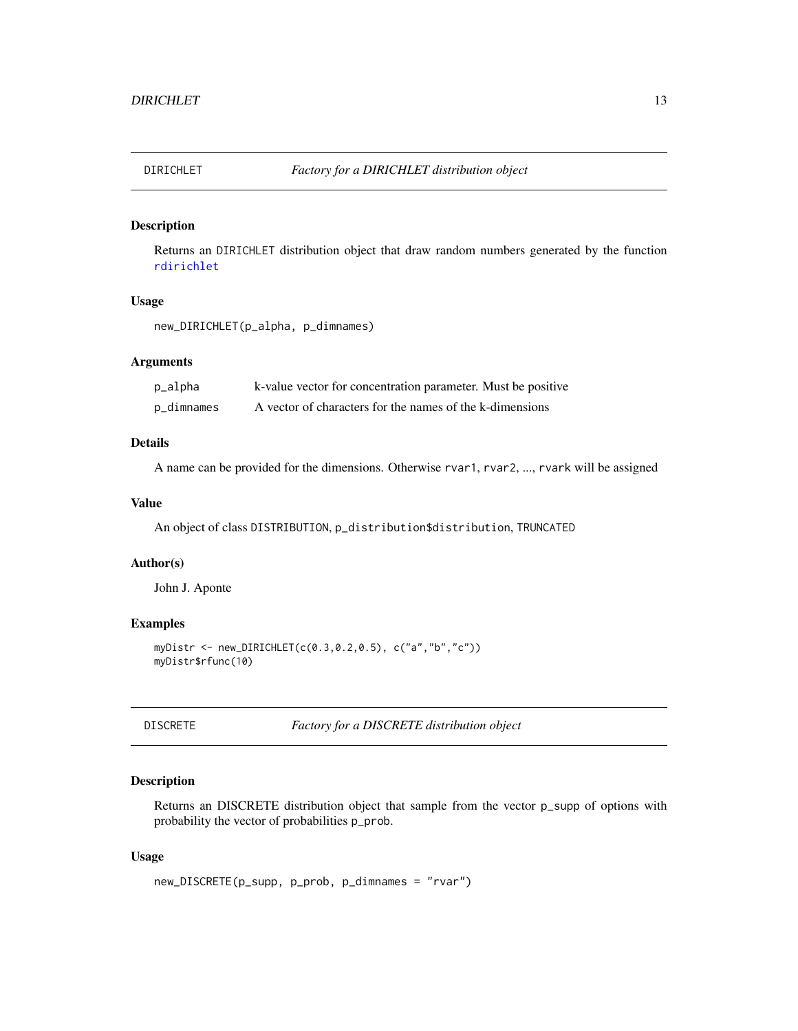<span id="page-12-1"></span><span id="page-12-0"></span>

Returns an DIRICHLET distribution object that draw random numbers generated by the function [rdirichlet](#page-0-0)

#### Usage

new\_DIRICHLET(p\_alpha, p\_dimnames)

#### Arguments

| p_alpha    | k-value vector for concentration parameter. Must be positive |
|------------|--------------------------------------------------------------|
| p_dimnames | A vector of characters for the names of the k-dimensions     |

#### Details

A name can be provided for the dimensions. Otherwise rvar1, rvar2, ..., rvark will be assigned

#### Value

An object of class DISTRIBUTION, p\_distribution\$distribution, TRUNCATED

#### Author(s)

John J. Aponte

#### Examples

```
myDistr <- new_DIRICHLET(c(0.3,0.2,0.5), c("a","b","c"))
myDistr$rfunc(10)
```
<span id="page-12-2"></span>DISCRETE *Factory for a DISCRETE distribution object*

#### Description

Returns an DISCRETE distribution object that sample from the vector p\_supp of options with probability the vector of probabilities p\_prob.

```
new_DISCRETE(p_supp, p_prob, p_dimnames = "rvar")
```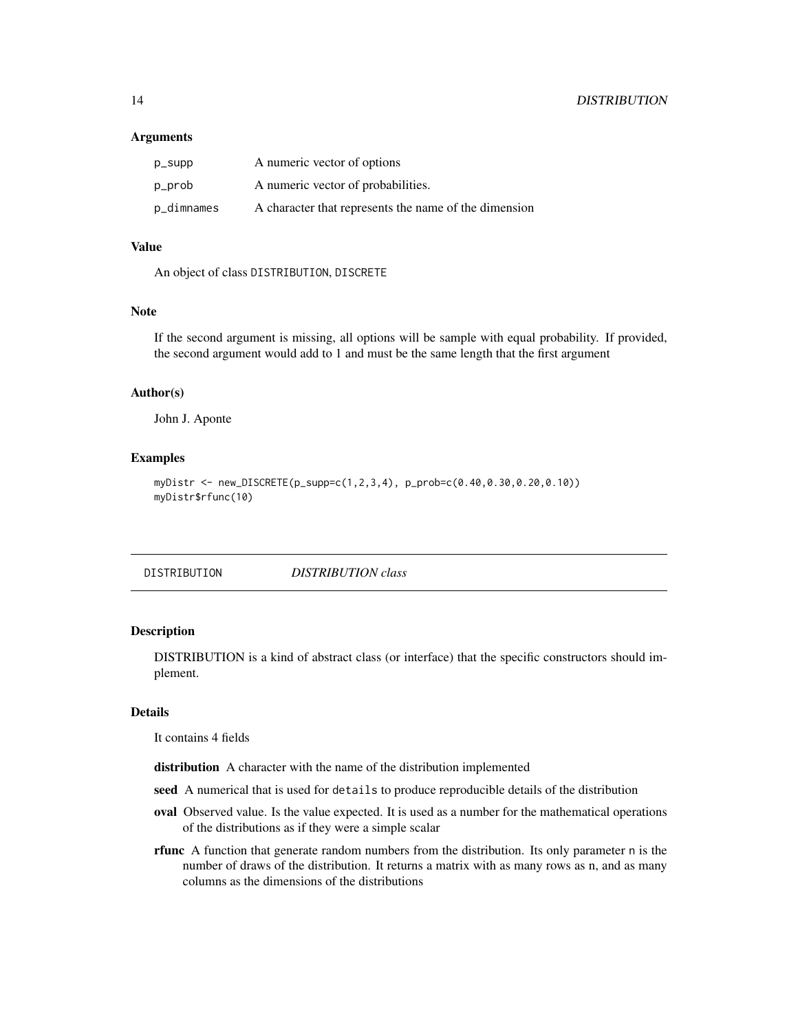#### <span id="page-13-0"></span>**Arguments**

| p_supp     | A numeric vector of options                           |
|------------|-------------------------------------------------------|
| p_prob     | A numeric vector of probabilities.                    |
| p_dimnames | A character that represents the name of the dimension |

#### Value

An object of class DISTRIBUTION, DISCRETE

#### Note

If the second argument is missing, all options will be sample with equal probability. If provided, the second argument would add to 1 and must be the same length that the first argument

#### Author(s)

John J. Aponte

# Examples

```
myDistr <- new_DISCRETE(p_supp=c(1,2,3,4), p_prob=c(0.40,0.30,0.20,0.10))
myDistr$rfunc(10)
```
<span id="page-13-1"></span>DISTRIBUTION *DISTRIBUTION class*

#### Description

DISTRIBUTION is a kind of abstract class (or interface) that the specific constructors should implement.

#### Details

It contains 4 fields

distribution A character with the name of the distribution implemented

- seed A numerical that is used for details to produce reproducible details of the distribution
- oval Observed value. Is the value expected. It is used as a number for the mathematical operations of the distributions as if they were a simple scalar
- rfunc A function that generate random numbers from the distribution. Its only parameter n is the number of draws of the distribution. It returns a matrix with as many rows as n, and as many columns as the dimensions of the distributions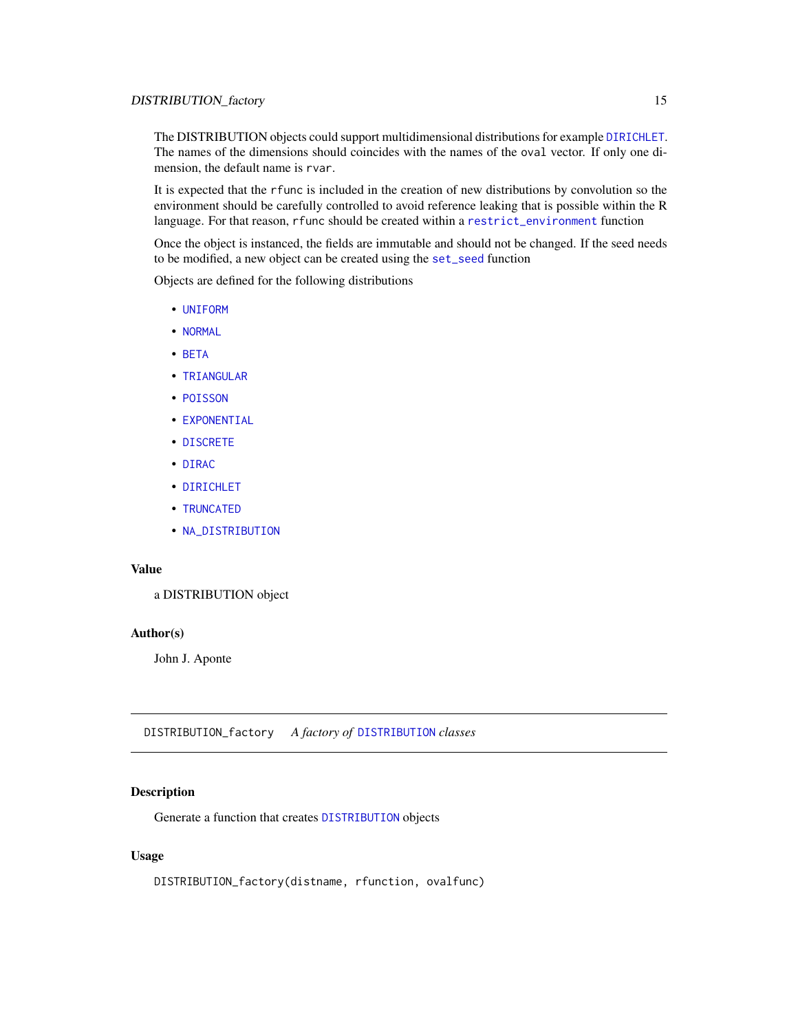<span id="page-14-0"></span>The DISTRIBUTION objects could support multidimensional distributions for example [DIRICHLET](#page-12-1). The names of the dimensions should coincides with the names of the oval vector. If only one dimension, the default name is rvar.

It is expected that the rfunc is included in the creation of new distributions by convolution so the environment should be carefully controlled to avoid reference leaking that is possible within the R language. For that reason, rfunc should be created within a [restrict\\_environment](#page-25-1) function

Once the object is instanced, the fields are immutable and should not be changed. If the seed needs to be modified, a new object can be created using the [set\\_seed](#page-28-1) function

Objects are defined for the following distributions

- [UNIFORM](#page-31-1)
- [NORMAL](#page-23-1)
- [BETA](#page-2-1)
- [TRIANGULAR](#page-30-1)
- [POISSON](#page-25-2)
- [EXPONENTIAL](#page-15-1)
- [DISCRETE](#page-12-2)
- [DIRAC](#page-11-1)
- [DIRICHLET](#page-12-1)
- [TRUNCATED](#page-30-2)
- [NA\\_DISTRIBUTION](#page-20-1)

# Value

a DISTRIBUTION object

# Author(s)

John J. Aponte

DISTRIBUTION\_factory *A factory of* [DISTRIBUTION](#page-13-1) *classes*

# Description

Generate a function that creates [DISTRIBUTION](#page-13-1) objects

#### Usage

DISTRIBUTION\_factory(distname, rfunction, ovalfunc)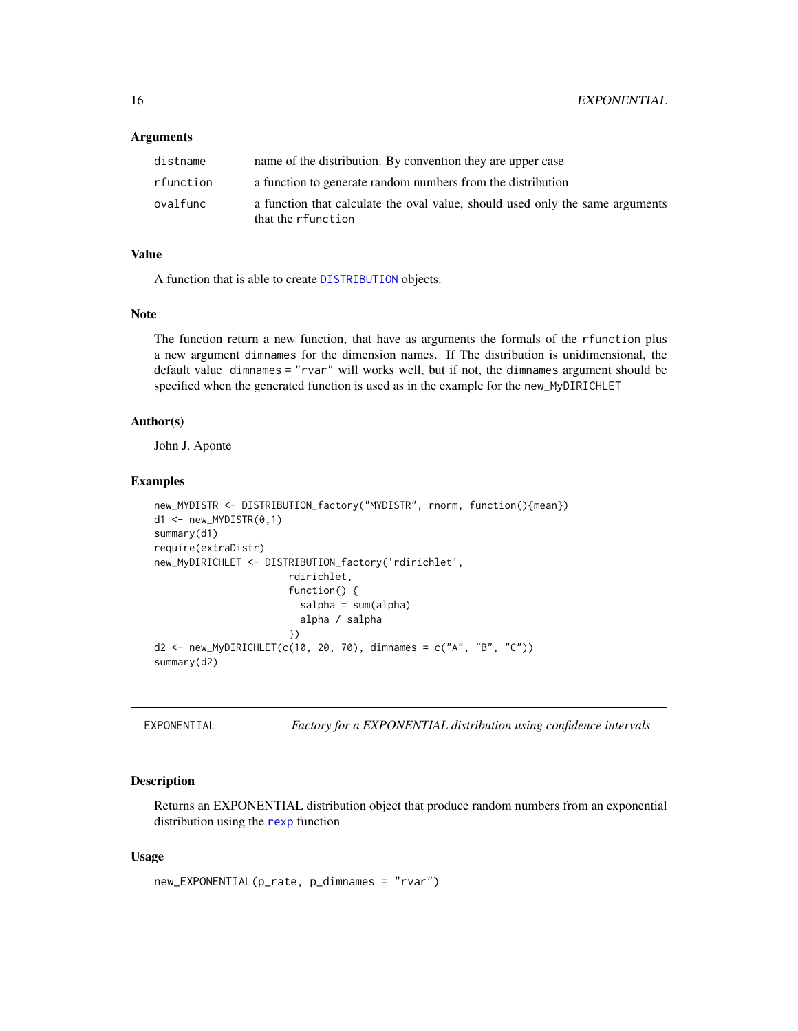#### <span id="page-15-0"></span>Arguments

| distname  | name of the distribution. By convention they are upper case                                         |
|-----------|-----------------------------------------------------------------------------------------------------|
| rfunction | a function to generate random numbers from the distribution                                         |
| ovalfunc  | a function that calculate the oval value, should used only the same arguments<br>that the rfunction |

#### Value

A function that is able to create [DISTRIBUTION](#page-13-1) objects.

#### Note

The function return a new function, that have as arguments the formals of the rfunction plus a new argument dimnames for the dimension names. If The distribution is unidimensional, the default value dimnames = "rvar" will works well, but if not, the dimnames argument should be specified when the generated function is used as in the example for the new\_MyDIRICHLET

# Author(s)

John J. Aponte

#### Examples

```
new_MYDISTR <- DISTRIBUTION_factory("MYDISTR", rnorm, function(){mean})
d1 <- new_MYDISTR(0,1)
summary(d1)
require(extraDistr)
new_MyDIRICHLET <- DISTRIBUTION_factory('rdirichlet',
                       rdirichlet,
                       function() {
                         salpha = sum(alpha)
                         alpha / salpha
                       })
d2 <- new_MyDIRICHLET(c(10, 20, 70), dimnames = c("A", "B", "C"))
summary(d2)
```
<span id="page-15-1"></span>EXPONENTIAL *Factory for a EXPONENTIAL distribution using confidence intervals*

#### Description

Returns an EXPONENTIAL distribution object that produce random numbers from an exponential distribution using the [rexp](#page-0-0) function

```
new_EXPONENTIAL(p_rate, p_dimnames = "rvar")
```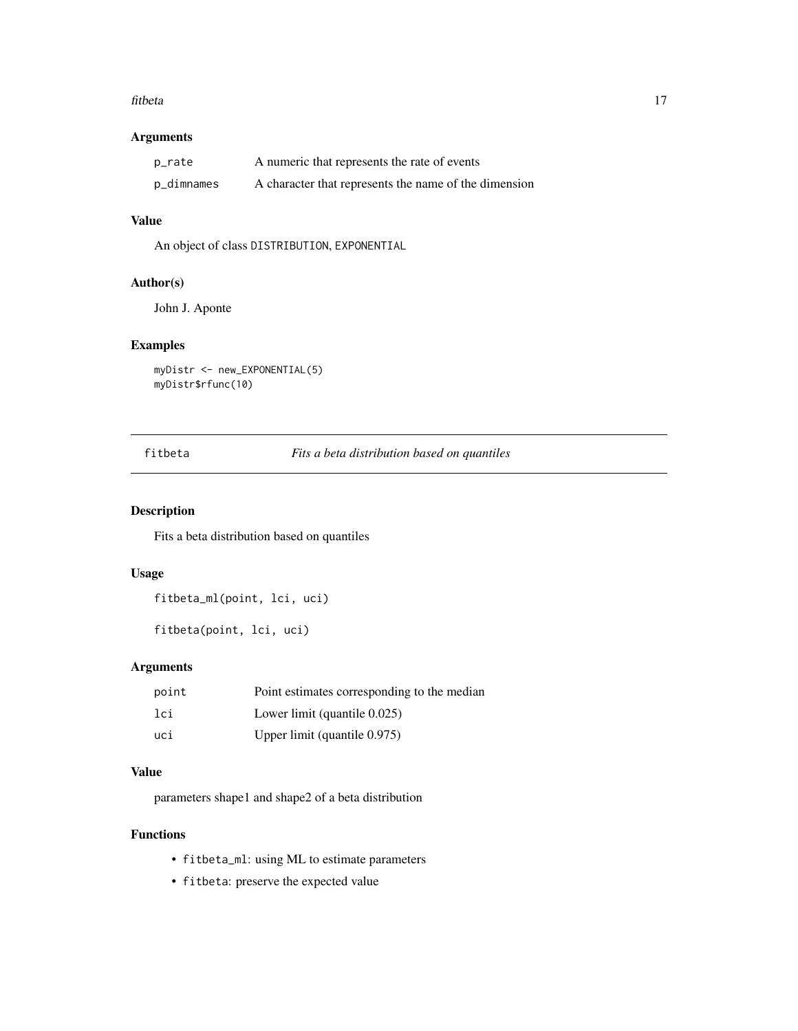#### <span id="page-16-0"></span>fitbeta 17

# Arguments

| p_rate     | A numeric that represents the rate of events          |
|------------|-------------------------------------------------------|
| p_dimnames | A character that represents the name of the dimension |

# Value

An object of class DISTRIBUTION, EXPONENTIAL

#### Author(s)

John J. Aponte

#### Examples

```
myDistr <- new_EXPONENTIAL(5)
myDistr$rfunc(10)
```
<span id="page-16-1"></span>fitbeta *Fits a beta distribution based on quantiles*

# Description

Fits a beta distribution based on quantiles

#### Usage

```
fitbeta_ml(point, lci, uci)
```
fitbeta(point, lci, uci)

# Arguments

| point | Point estimates corresponding to the median |
|-------|---------------------------------------------|
| lci   | Lower limit (quantile $0.025$ )             |
| uci   | Upper limit (quantile 0.975)                |

# Value

parameters shape1 and shape2 of a beta distribution

# Functions

- fitbeta\_ml: using ML to estimate parameters
- fitbeta: preserve the expected value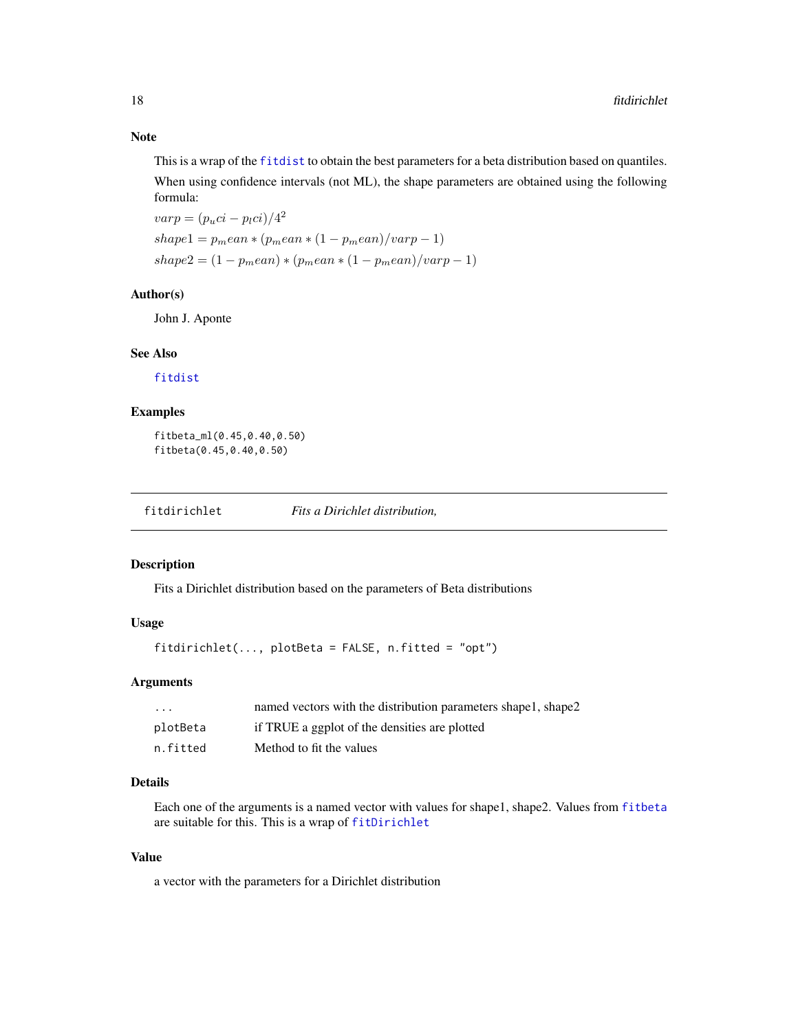<span id="page-17-0"></span>This is a wrap of the [fitdist](#page-0-0) to obtain the best parameters for a beta distribution based on quantiles. When using confidence intervals (not ML), the shape parameters are obtained using the following formula:

 $varp = (p_u ci - p_l ci)/4^2$  $shape1 = p_mean * (p_mean * (1 - p_mean)/varp - 1)$  $shape2 = (1 - p_mean) * (p_mean * (1 - p_mean)/varp - 1)$ 

#### Author(s)

John J. Aponte

#### See Also

[fitdist](#page-0-0)

#### Examples

fitbeta\_ml(0.45,0.40,0.50) fitbeta(0.45,0.40,0.50)

fitdirichlet *Fits a Dirichlet distribution,*

#### Description

Fits a Dirichlet distribution based on the parameters of Beta distributions

# Usage

fitdirichlet(..., plotBeta = FALSE, n.fitted = "opt")

#### Arguments

| $\cdot$ $\cdot$ $\cdot$ | named vectors with the distribution parameters shape1, shape2 |
|-------------------------|---------------------------------------------------------------|
| plotBeta                | if TRUE a ggplot of the densities are plotted                 |
| n.fitted                | Method to fit the values                                      |

#### Details

Each one of the arguments is a named vector with values for shape1, shape2. Values from [fitbeta](#page-16-1) are suitable for this. This is a wrap of [fitDirichlet](#page-0-0)

#### Value

a vector with the parameters for a Dirichlet distribution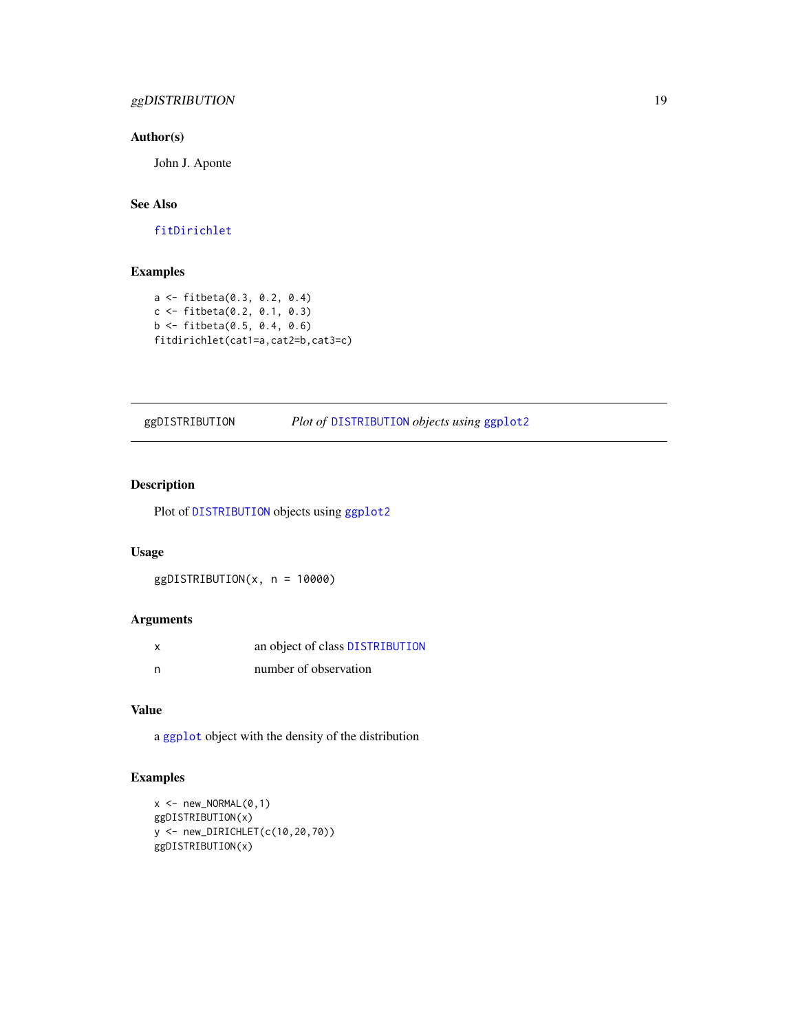# <span id="page-18-0"></span>ggDISTRIBUTION 19

#### Author(s)

John J. Aponte

# See Also

[fitDirichlet](#page-0-0)

# Examples

```
a <- fitbeta(0.3, 0.2, 0.4)
c <- fitbeta(0.2, 0.1, 0.3)
b <- fitbeta(0.5, 0.4, 0.6)
fitdirichlet(cat1=a,cat2=b,cat3=c)
```
# ggDISTRIBUTION *Plot of* [DISTRIBUTION](#page-13-1) *objects using* [ggplot2](#page-0-0)

# Description

Plot of [DISTRIBUTION](#page-13-1) objects using [ggplot2](#page-0-0)

#### Usage

ggDISTRIBUTION(x, n = 10000)

# Arguments

| X | an object of class DISTRIBUTION |
|---|---------------------------------|
| n | number of observation           |

# Value

a [ggplot](#page-0-0) object with the density of the distribution

# Examples

```
x <- new_NORMAL(0,1)ggDISTRIBUTION(x)
y <- new_DIRICHLET(c(10,20,70))
ggDISTRIBUTION(x)
```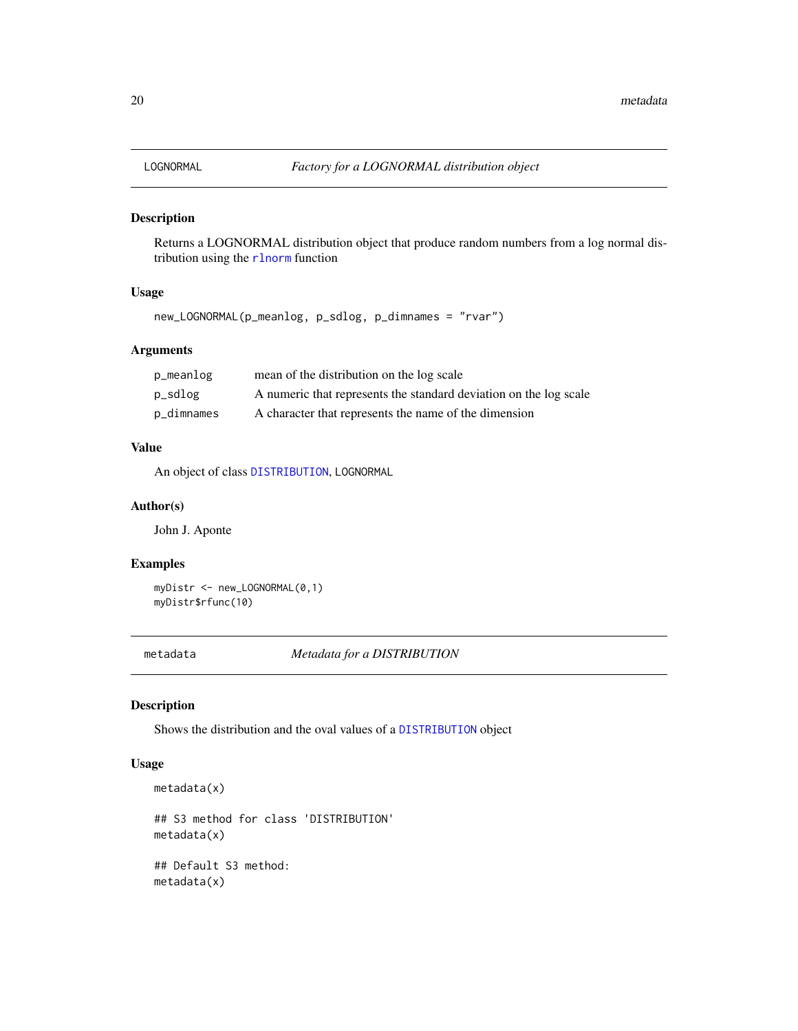<span id="page-19-0"></span>

Returns a LOGNORMAL distribution object that produce random numbers from a log normal distribution using the [rlnorm](#page-0-0) function

#### Usage

```
new_LOGNORMAL(p_meanlog, p_sdlog, p_dimnames = "rvar")
```
# Arguments

| p_meanlog  | mean of the distribution on the log scale                         |
|------------|-------------------------------------------------------------------|
| p_sdlog    | A numeric that represents the standard deviation on the log scale |
| p_dimnames | A character that represents the name of the dimension             |

#### Value

An object of class [DISTRIBUTION](#page-13-1), LOGNORMAL

#### Author(s)

John J. Aponte

#### Examples

myDistr <- new\_LOGNORMAL(0,1) myDistr\$rfunc(10)

metadata *Metadata for a DISTRIBUTION*

#### Description

Shows the distribution and the oval values of a [DISTRIBUTION](#page-13-1) object

```
metadata(x)
## S3 method for class 'DISTRIBUTION'
metadata(x)
## Default S3 method:
metadata(x)
```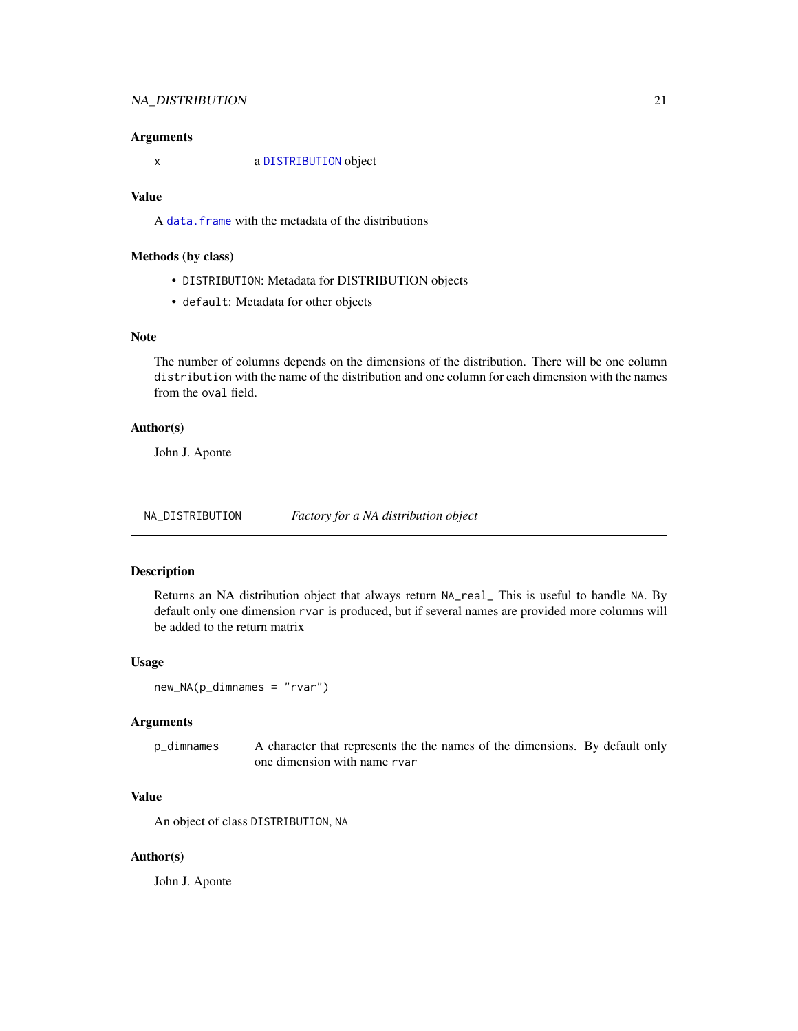#### <span id="page-20-0"></span>NA\_DISTRIBUTION 21

#### Arguments

x a [DISTRIBUTION](#page-13-1) object

# Value

A [data.frame](#page-0-0) with the metadata of the distributions

#### Methods (by class)

- DISTRIBUTION: Metadata for DISTRIBUTION objects
- default: Metadata for other objects

# Note

The number of columns depends on the dimensions of the distribution. There will be one column distribution with the name of the distribution and one column for each dimension with the names from the oval field.

#### Author(s)

John J. Aponte

<span id="page-20-1"></span>NA\_DISTRIBUTION *Factory for a NA distribution object*

#### Description

Returns an NA distribution object that always return NA\_real\_ This is useful to handle NA. By default only one dimension rvar is produced, but if several names are provided more columns will be added to the return matrix

#### Usage

```
new_NA(p_dimnames = "rvar")
```
# Arguments

p\_dimnames A character that represents the the names of the dimensions. By default only one dimension with name rvar

#### Value

An object of class DISTRIBUTION, NA

#### Author(s)

John J. Aponte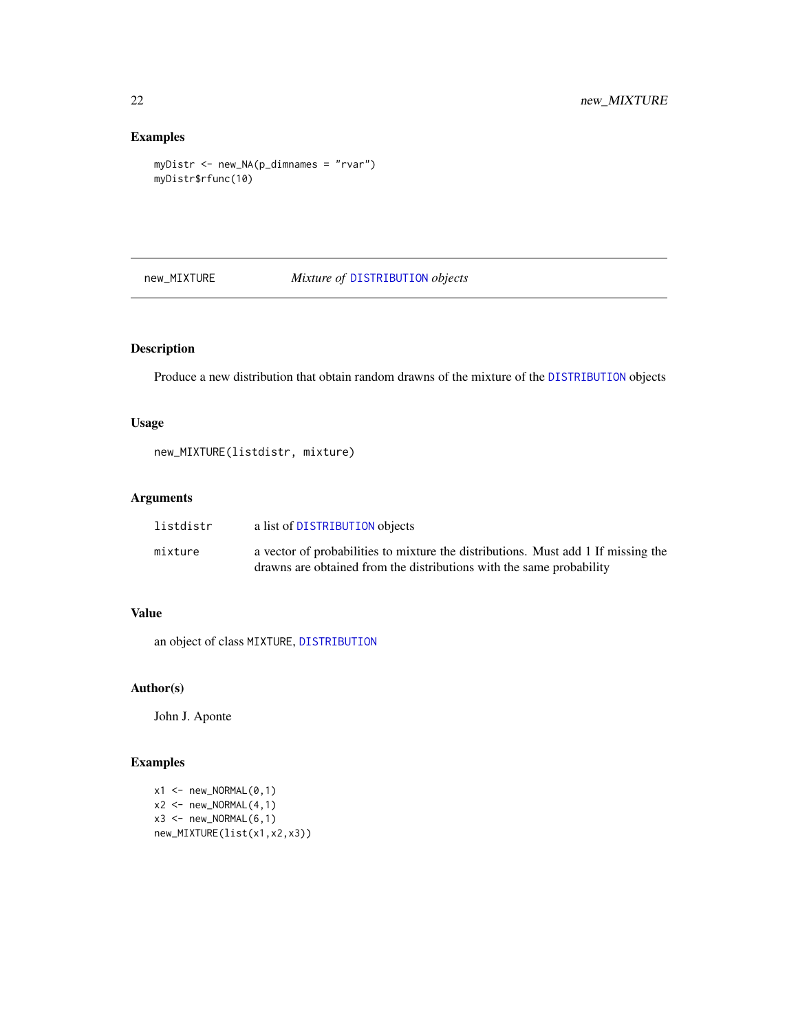# Examples

```
myDistr <- new_NA(p_dimnames = "rvar")
myDistr$rfunc(10)
```
new\_MIXTURE *Mixture of* [DISTRIBUTION](#page-13-1) *objects*

# Description

Produce a new distribution that obtain random drawns of the mixture of the [DISTRIBUTION](#page-13-1) objects

# Usage

```
new_MIXTURE(listdistr, mixture)
```
# Arguments

| listdistr | a list of DISTRIBUTION objects                                                    |
|-----------|-----------------------------------------------------------------------------------|
| mixture   | a vector of probabilities to mixture the distributions. Must add 1 If missing the |
|           | drawns are obtained from the distributions with the same probability              |

# Value

an object of class MIXTURE, [DISTRIBUTION](#page-13-1)

# Author(s)

John J. Aponte

# Examples

```
x1 \leq - new_NORMAL(0,1)
x2 \leq - new_NORMAL(4,1)x3 \leq - new_NORMAL(6,1)
new_MIXTURE(list(x1,x2,x3))
```
<span id="page-21-0"></span>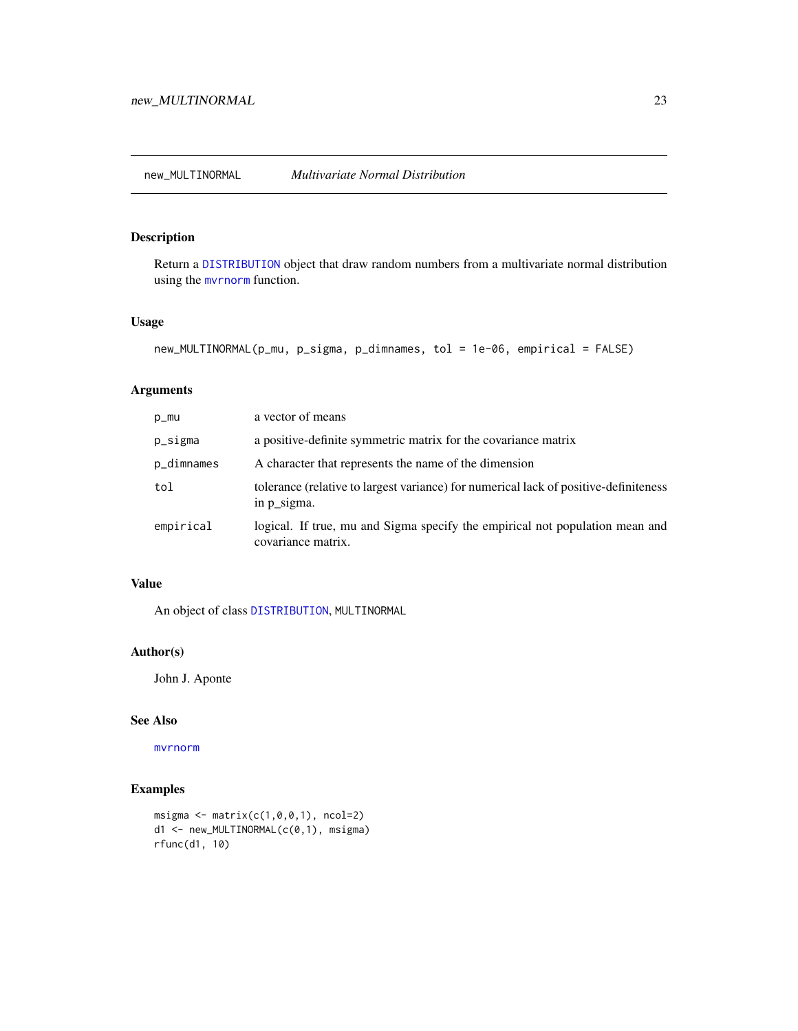<span id="page-22-0"></span>Return a [DISTRIBUTION](#page-13-1) object that draw random numbers from a multivariate normal distribution using the [mvrnorm](#page-0-0) function.

#### Usage

```
new_MULTINORMAL(p_mu, p_sigma, p_dimnames, tol = 1e-06, empirical = FALSE)
```
# Arguments

| p_mu       | a vector of means                                                                                   |
|------------|-----------------------------------------------------------------------------------------------------|
| p_sigma    | a positive-definite symmetric matrix for the covariance matrix                                      |
| p_dimnames | A character that represents the name of the dimension                                               |
| tol        | tolerance (relative to largest variance) for numerical lack of positive-definiteness<br>in p_sigma. |
| empirical  | logical. If true, mu and Sigma specify the empirical not population mean and<br>covariance matrix.  |

#### Value

An object of class [DISTRIBUTION](#page-13-1), MULTINORMAL

#### Author(s)

John J. Aponte

# See Also

[mvrnorm](#page-0-0)

# Examples

```
msigma <- matrix(c(1,0,0,1), ncol=2)
d1 <- new_MULTINORMAL(c(0,1), msigma)
rfunc(d1, 10)
```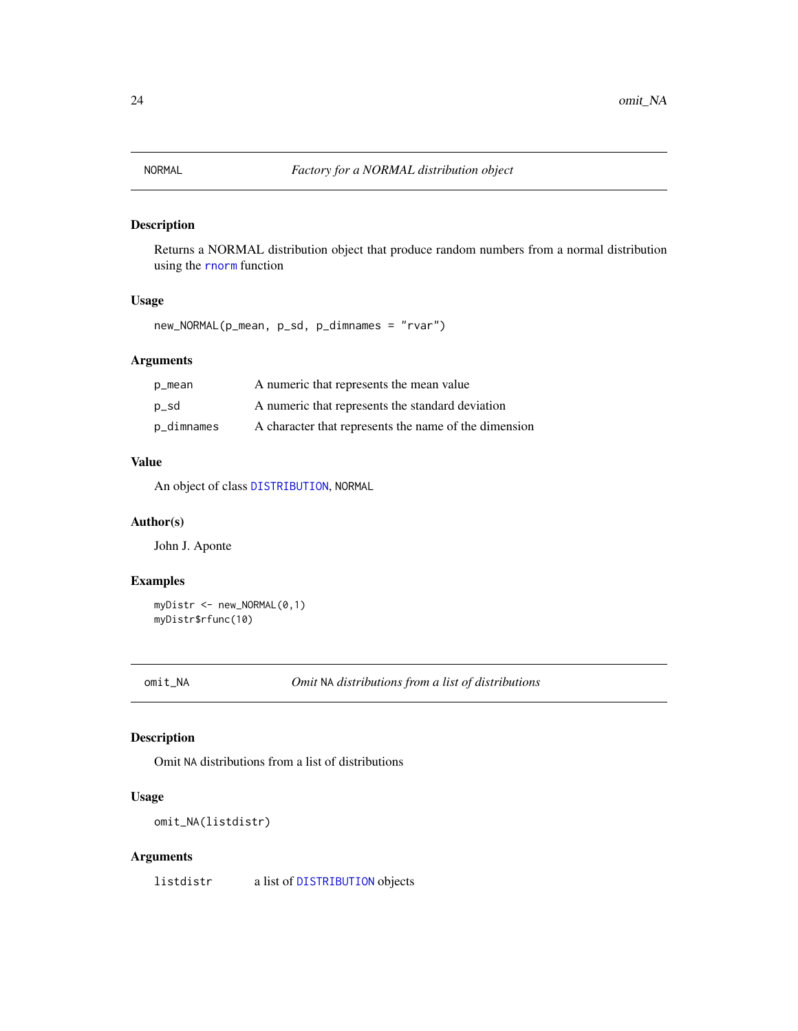<span id="page-23-1"></span><span id="page-23-0"></span>Returns a NORMAL distribution object that produce random numbers from a normal distribution using the [rnorm](#page-0-0) function

# Usage

new\_NORMAL(p\_mean, p\_sd, p\_dimnames = "rvar")

#### Arguments

| p_mean     | A numeric that represents the mean value              |
|------------|-------------------------------------------------------|
| p_sd       | A numeric that represents the standard deviation      |
| p_dimnames | A character that represents the name of the dimension |

#### Value

An object of class [DISTRIBUTION](#page-13-1), NORMAL

#### Author(s)

John J. Aponte

#### Examples

```
myDistr <- new_NORMAL(0,1)
myDistr$rfunc(10)
```
omit\_NA *Omit* NA *distributions from a list of distributions*

# Description

Omit NA distributions from a list of distributions

#### Usage

omit\_NA(listdistr)

# Arguments

listdistr a list of [DISTRIBUTION](#page-13-1) objects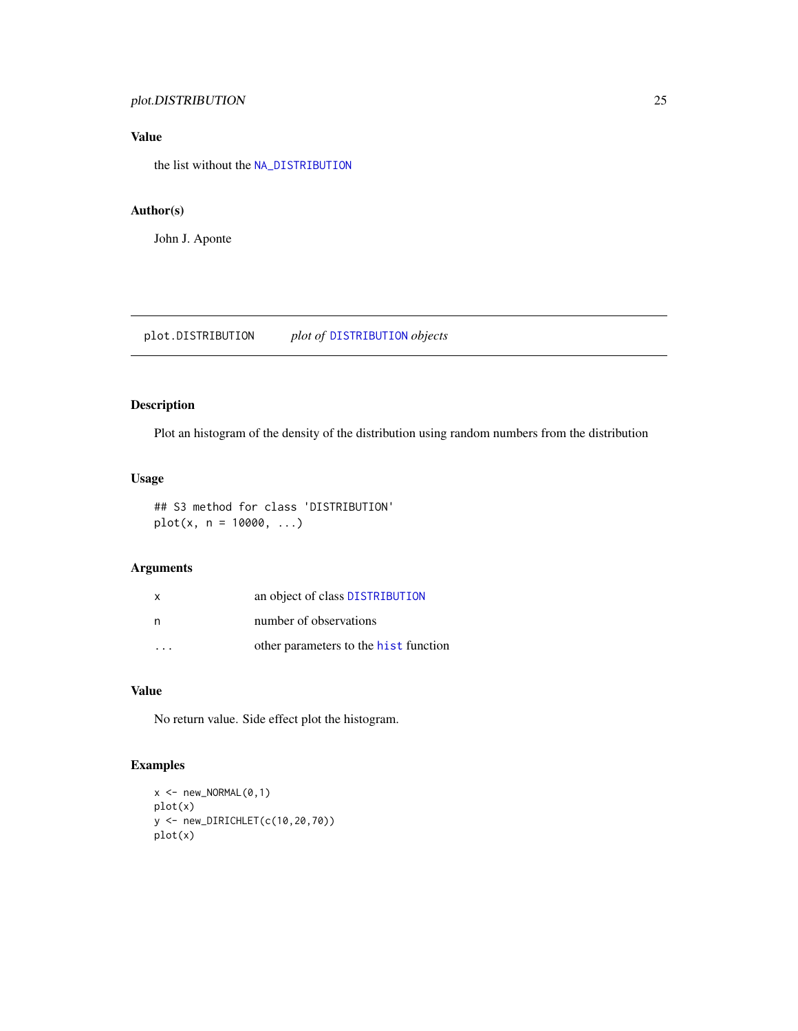# <span id="page-24-0"></span>plot.DISTRIBUTION 25

# Value

the list without the [NA\\_DISTRIBUTION](#page-20-1)

# Author(s)

John J. Aponte

plot.DISTRIBUTION *plot of* [DISTRIBUTION](#page-13-1) *objects*

# Description

Plot an histogram of the density of the distribution using random numbers from the distribution

# Usage

## S3 method for class 'DISTRIBUTION'  $plot(x, n = 10000, ...)$ 

#### Arguments

| $\mathsf{x}$ | an object of class DISTRIBUTION       |
|--------------|---------------------------------------|
| n            | number of observations                |
|              | other parameters to the hist function |

#### Value

No return value. Side effect plot the histogram.

# Examples

```
x <- new_NORMAL(0,1)
plot(x)
y <- new_DIRICHLET(c(10,20,70))
plot(x)
```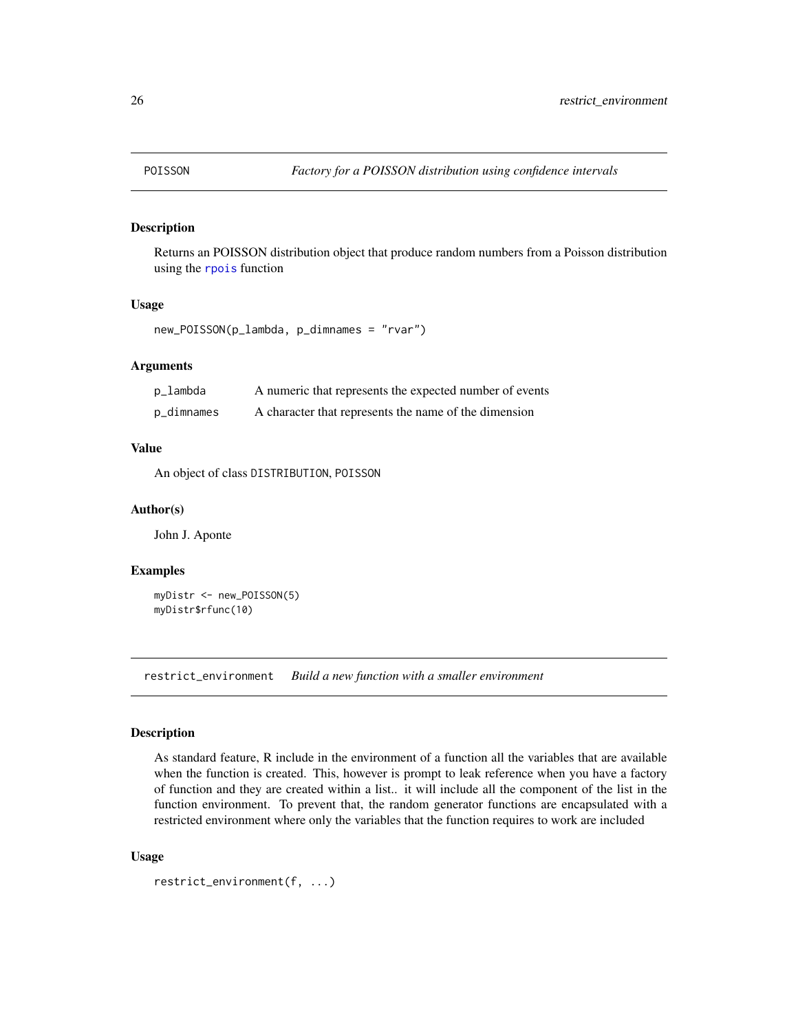<span id="page-25-2"></span><span id="page-25-0"></span>

Returns an POISSON distribution object that produce random numbers from a Poisson distribution using the [rpois](#page-0-0) function

#### Usage

```
new_POISSON(p_lambda, p_dimnames = "rvar")
```
# Arguments

| p_lambda   | A numeric that represents the expected number of events |
|------------|---------------------------------------------------------|
| p_dimnames | A character that represents the name of the dimension   |

#### Value

An object of class DISTRIBUTION, POISSON

#### Author(s)

John J. Aponte

#### Examples

```
myDistr <- new_POISSON(5)
myDistr$rfunc(10)
```
<span id="page-25-1"></span>restrict\_environment *Build a new function with a smaller environment*

#### Description

As standard feature, R include in the environment of a function all the variables that are available when the function is created. This, however is prompt to leak reference when you have a factory of function and they are created within a list.. it will include all the component of the list in the function environment. To prevent that, the random generator functions are encapsulated with a restricted environment where only the variables that the function requires to work are included

```
restrict_environment(f, ...)
```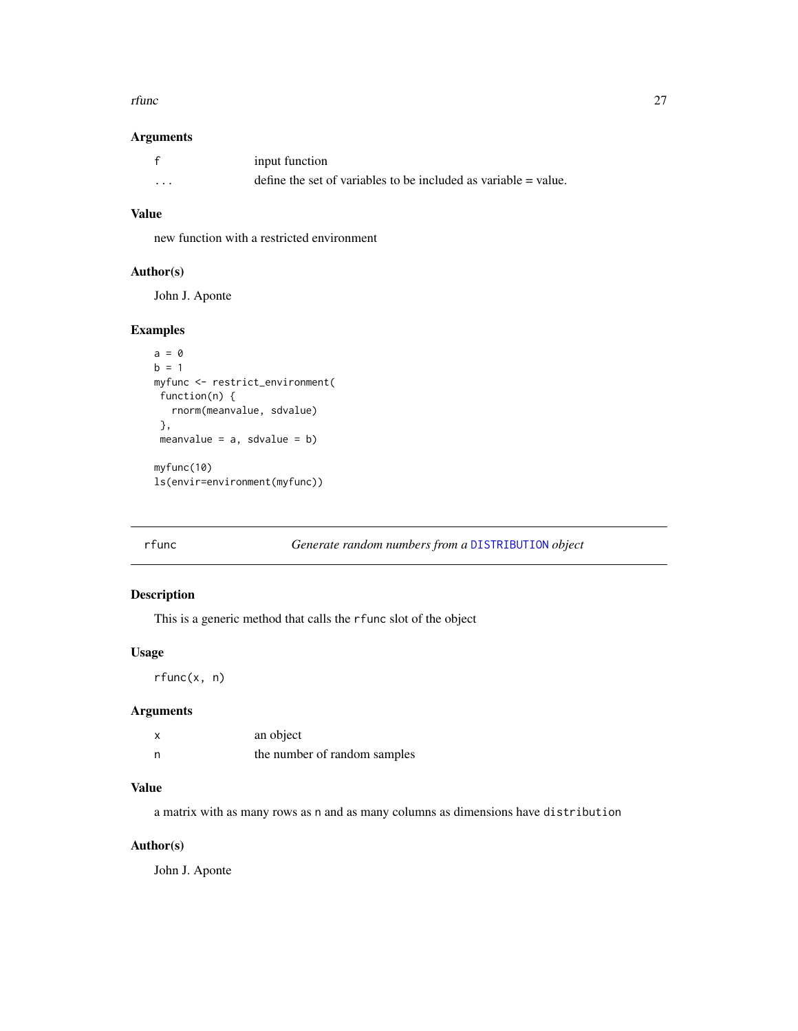#### <span id="page-26-0"></span>rfunc 27

#### Arguments

|         | input function                                                    |
|---------|-------------------------------------------------------------------|
| $\cdot$ | define the set of variables to be included as variable $=$ value. |

#### Value

new function with a restricted environment

# Author(s)

John J. Aponte

# Examples

```
a = 0b = 1myfunc <- restrict_environment(
 function(n) {
   rnorm(meanvalue, sdvalue)
 },
 meanvalue = a, sdvalue = b)
myfunc(10)
ls(envir=environment(myfunc))
```
rfunc *Generate random numbers from a* [DISTRIBUTION](#page-13-1) *object*

# Description

This is a generic method that calls the rfunc slot of the object

#### Usage

rfunc(x, n)

#### Arguments

|   | an object                    |
|---|------------------------------|
| n | the number of random samples |

#### Value

a matrix with as many rows as n and as many columns as dimensions have distribution

# Author(s)

John J. Aponte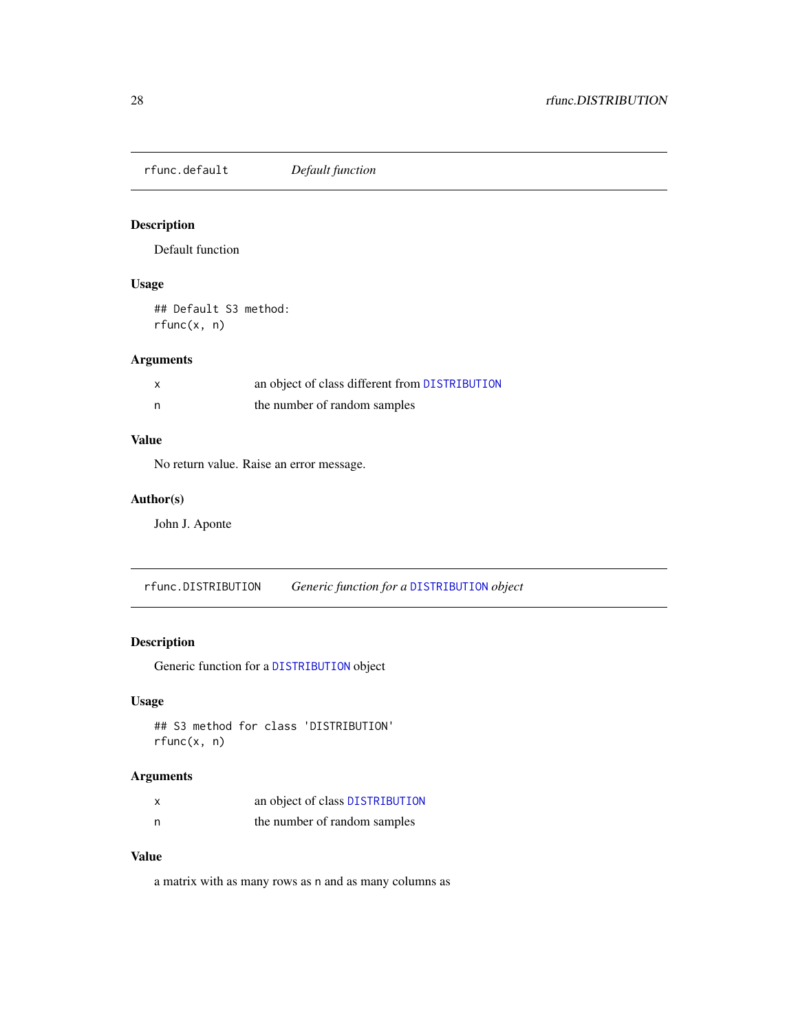<span id="page-27-0"></span>rfunc.default *Default function*

# Description

Default function

# Usage

## Default S3 method: rfunc(x, n)

#### Arguments

|   | an object of class different from DISTRIBUTION |
|---|------------------------------------------------|
| n | the number of random samples                   |

# Value

No return value. Raise an error message.

# Author(s)

John J. Aponte

rfunc.DISTRIBUTION *Generic function for a* [DISTRIBUTION](#page-13-1) *object*

# Description

Generic function for a [DISTRIBUTION](#page-13-1) object

# Usage

## S3 method for class 'DISTRIBUTION' rfunc(x, n)

# Arguments

| X | an object of class DISTRIBUTION |
|---|---------------------------------|
| n | the number of random samples    |

# Value

a matrix with as many rows as n and as many columns as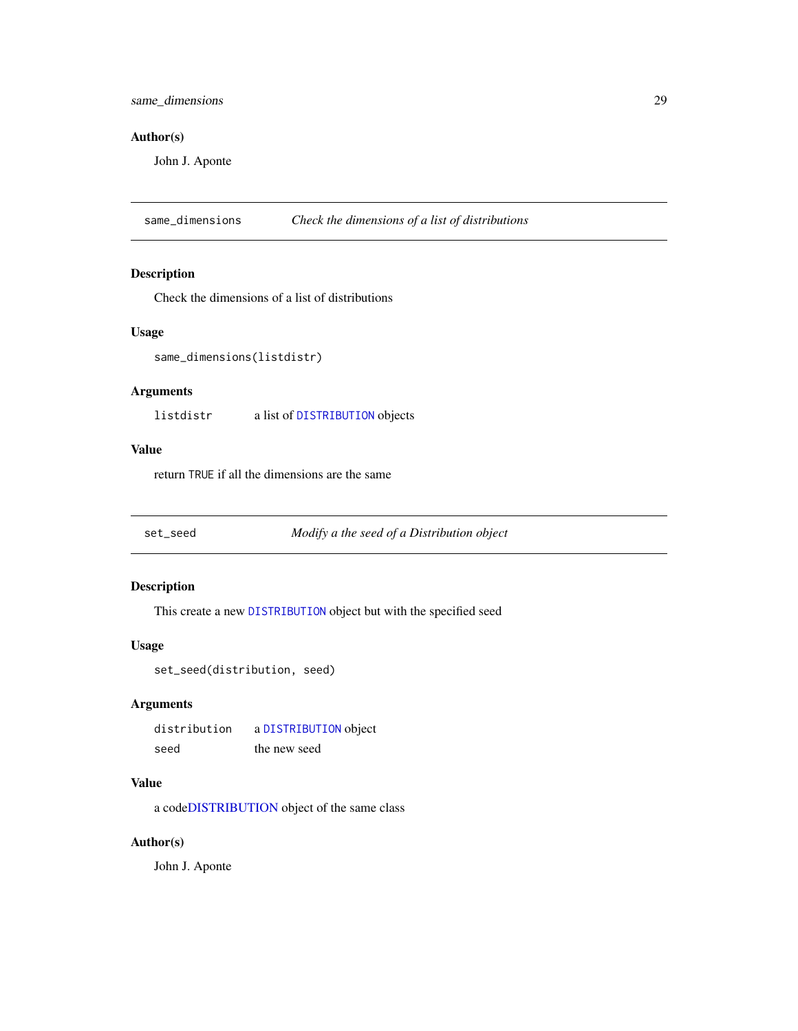#### <span id="page-28-0"></span>Author(s)

John J. Aponte

same\_dimensions *Check the dimensions of a list of distributions*

#### Description

Check the dimensions of a list of distributions

#### Usage

```
same_dimensions(listdistr)
```
# Arguments

listdistr a list of [DISTRIBUTION](#page-13-1) objects

#### Value

return TRUE if all the dimensions are the same

<span id="page-28-1"></span>set\_seed *Modify a the seed of a Distribution object*

# Description

This create a new [DISTRIBUTION](#page-13-1) object but with the specified seed

#### Usage

set\_seed(distribution, seed)

#### Arguments

distribution a [DISTRIBUTION](#page-13-1) object seed the new seed

#### Value

a cod[eDISTRIBUTION](#page-13-1) object of the same class

#### Author(s)

John J. Aponte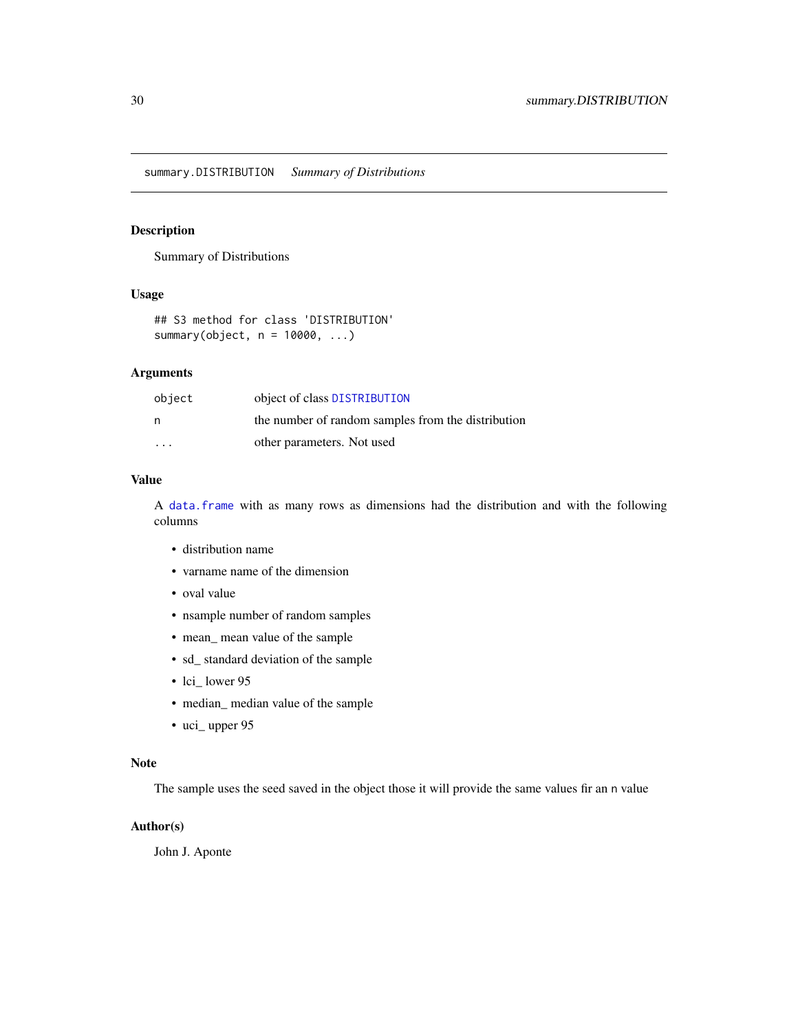<span id="page-29-0"></span>summary.DISTRIBUTION *Summary of Distributions*

#### Description

Summary of Distributions

# Usage

## S3 method for class 'DISTRIBUTION' summary(object, n = 10000, ...)

#### Arguments

| object                  | object of class DISTRIBUTION                       |
|-------------------------|----------------------------------------------------|
| n                       | the number of random samples from the distribution |
| $\cdot$ $\cdot$ $\cdot$ | other parameters. Not used                         |

# Value

A [data.frame](#page-0-0) with as many rows as dimensions had the distribution and with the following columns

- distribution name
- varname name of the dimension
- oval value
- nsample number of random samples
- mean\_ mean value of the sample
- sd\_ standard deviation of the sample
- lci\_lower 95
- median\_ median value of the sample
- uci\_ upper 95

#### Note

The sample uses the seed saved in the object those it will provide the same values fir an n value

# Author(s)

John J. Aponte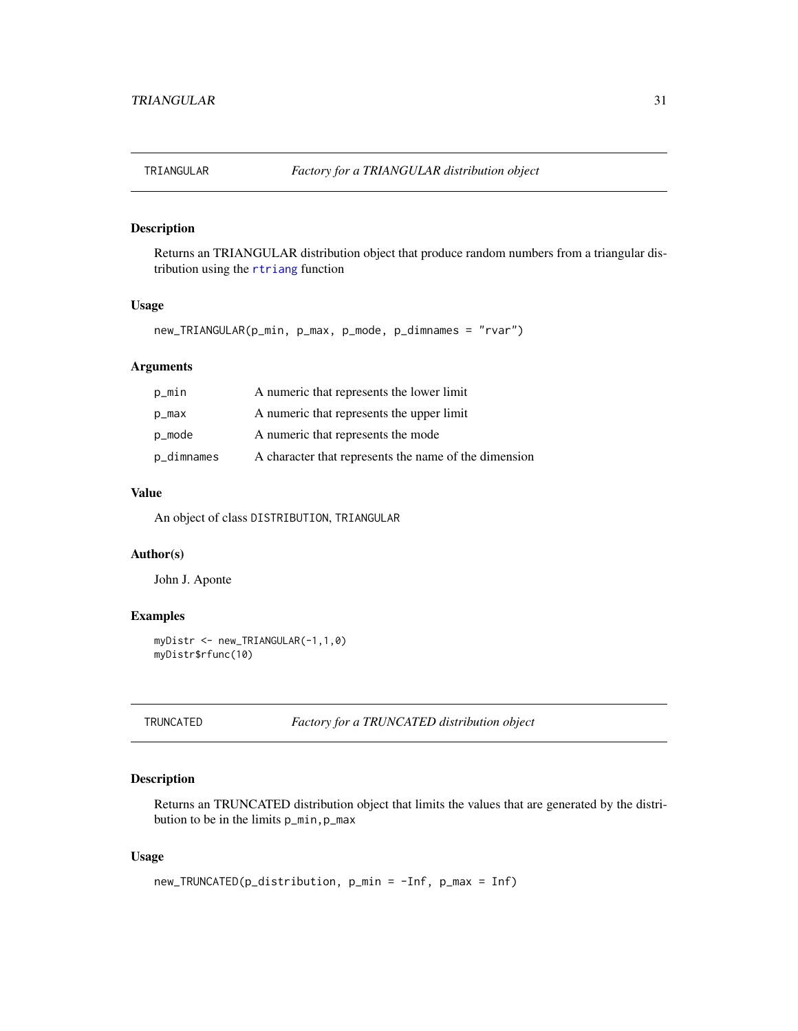<span id="page-30-1"></span><span id="page-30-0"></span>

Returns an TRIANGULAR distribution object that produce random numbers from a triangular distribution using the [rtriang](#page-0-0) function

#### Usage

new\_TRIANGULAR(p\_min, p\_max, p\_mode, p\_dimnames = "rvar")

#### Arguments

| p_min      | A numeric that represents the lower limit             |
|------------|-------------------------------------------------------|
| p_max      | A numeric that represents the upper limit             |
| p_mode     | A numeric that represents the mode                    |
| p_dimnames | A character that represents the name of the dimension |

# Value

An object of class DISTRIBUTION, TRIANGULAR

# Author(s)

John J. Aponte

# Examples

```
myDistr <- new_TRIANGULAR(-1,1,0)
myDistr$rfunc(10)
```
<span id="page-30-2"></span>TRUNCATED *Factory for a TRUNCATED distribution object*

# **Description**

Returns an TRUNCATED distribution object that limits the values that are generated by the distribution to be in the limits p\_min,p\_max

```
new_TRUNCATED(p_distribution, p_min = -Inf, p_max = Inf)
```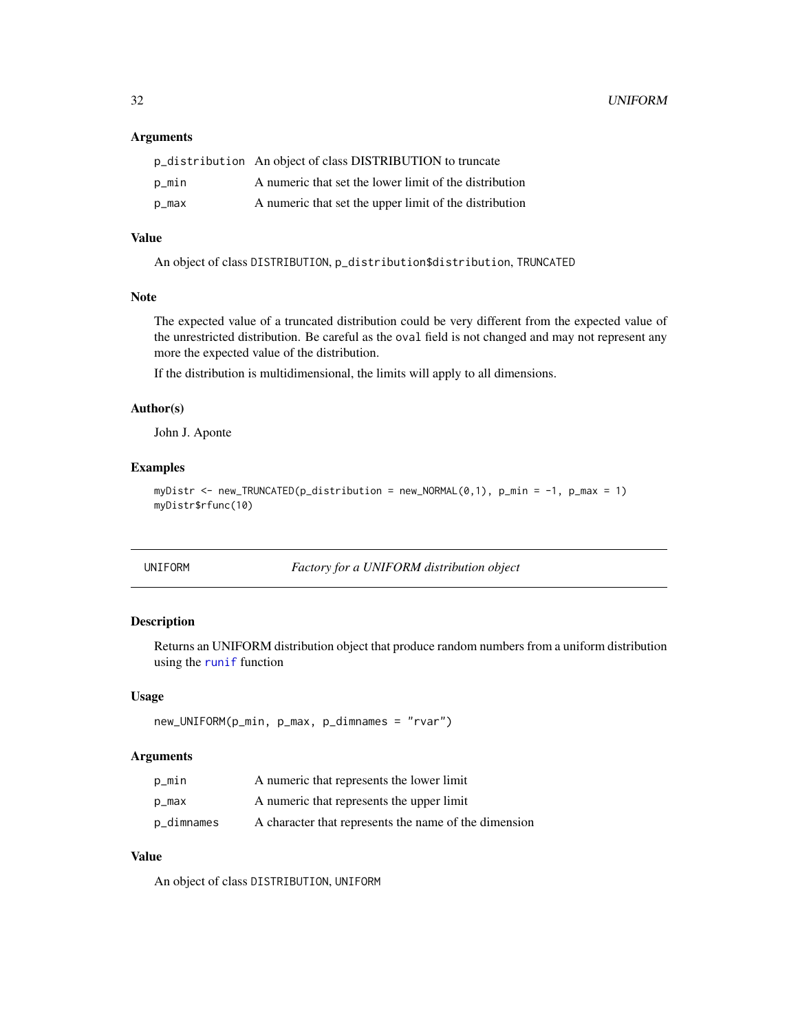#### <span id="page-31-0"></span>Arguments

|       | p_distribution An object of class DISTRIBUTION to truncate |
|-------|------------------------------------------------------------|
| p_min | A numeric that set the lower limit of the distribution     |
| p_max | A numeric that set the upper limit of the distribution     |

# Value

An object of class DISTRIBUTION, p\_distribution\$distribution, TRUNCATED

## Note

The expected value of a truncated distribution could be very different from the expected value of the unrestricted distribution. Be careful as the oval field is not changed and may not represent any more the expected value of the distribution.

If the distribution is multidimensional, the limits will apply to all dimensions.

#### Author(s)

John J. Aponte

# Examples

```
myDistr <- new_TRUNCATED(p_distribution = new_NORMAL(0,1), p_min = -1, p_max = 1)
myDistr$rfunc(10)
```
<span id="page-31-1"></span>

| UNIFORM |  |
|---------|--|
|---------|--|

UNIFORM *Factory for a UNIFORM distribution object*

#### Description

Returns an UNIFORM distribution object that produce random numbers from a uniform distribution using the [runif](#page-0-0) function

#### Usage

```
new_UNIFORM(p_min, p_max, p_dimnames = "rvar")
```
#### Arguments

| p_min      | A numeric that represents the lower limit             |
|------------|-------------------------------------------------------|
| p_max      | A numeric that represents the upper limit             |
| p_dimnames | A character that represents the name of the dimension |

# Value

An object of class DISTRIBUTION, UNIFORM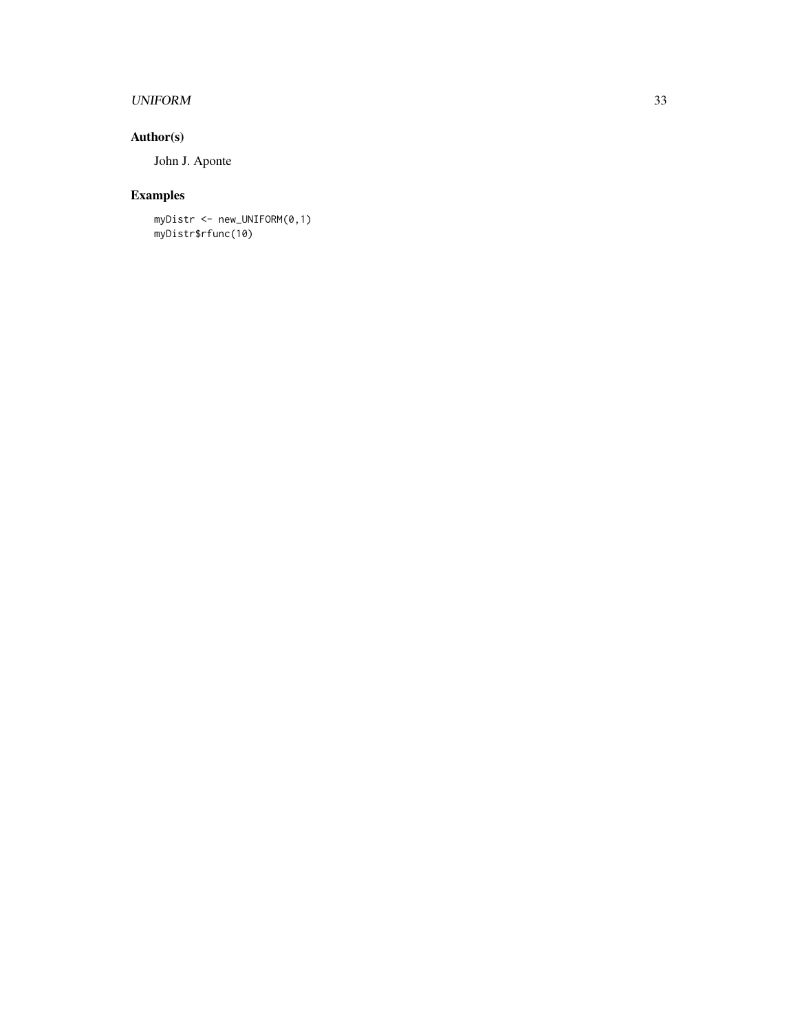# UNIFORM 33

# Author(s)

John J. Aponte

# Examples

myDistr <- new\_UNIFORM(0,1) myDistr\$rfunc(10)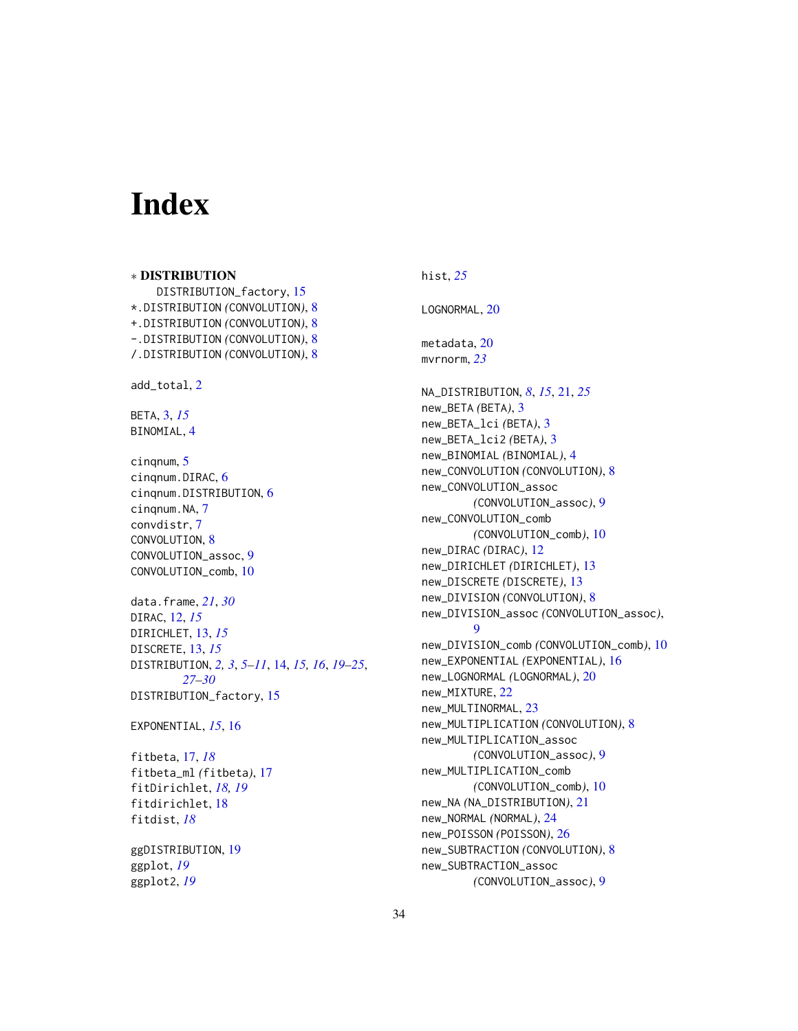# <span id="page-33-0"></span>Index

∗ DISTRIBUTION DISTRIBUTION\_factory, [15](#page-14-0) \*.DISTRIBUTION *(*CONVOLUTION*)*, [8](#page-7-0) +.DISTRIBUTION *(*CONVOLUTION*)*, [8](#page-7-0) -.DISTRIBUTION *(*CONVOLUTION*)*, [8](#page-7-0) /.DISTRIBUTION *(*CONVOLUTION*)*, [8](#page-7-0) add\_total, [2](#page-1-0) BETA, [3,](#page-2-0) *[15](#page-14-0)* BINOMIAL, [4](#page-3-0) cinqnum, [5](#page-4-0) cinqnum.DIRAC, [6](#page-5-0) cinqnum.DISTRIBUTION, [6](#page-5-0) cinqnum.NA, [7](#page-6-0) convdistr, [7](#page-6-0) CONVOLUTION, [8](#page-7-0) CONVOLUTION\_assoc, [9](#page-8-0) CONVOLUTION\_comb, [10](#page-9-0) data.frame, *[21](#page-20-0)*, *[30](#page-29-0)* DIRAC, [12,](#page-11-0) *[15](#page-14-0)* DIRICHLET, [13,](#page-12-0) *[15](#page-14-0)* DISCRETE, [13,](#page-12-0) *[15](#page-14-0)* DISTRIBUTION, *[2,](#page-1-0) [3](#page-2-0)*, *[5](#page-4-0)[–11](#page-10-0)*, [14,](#page-13-0) *[15,](#page-14-0) [16](#page-15-0)*, *[19–](#page-18-0)[25](#page-24-0)*, *[27](#page-26-0)[–30](#page-29-0)* DISTRIBUTION\_factory, [15](#page-14-0) EXPONENTIAL, *[15](#page-14-0)*, [16](#page-15-0) fitbeta, [17,](#page-16-0) *[18](#page-17-0)* fitbeta\_ml *(*fitbeta*)*, [17](#page-16-0) fitDirichlet, *[18,](#page-17-0) [19](#page-18-0)* fitdirichlet, [18](#page-17-0) fitdist, *[18](#page-17-0)* ggDISTRIBUTION, [19](#page-18-0) ggplot, *[19](#page-18-0)* ggplot2, *[19](#page-18-0)*

# hist, *[25](#page-24-0)*

LOGNORMAL, [20](#page-19-0)

metadata, [20](#page-19-0) mvrnorm, *[23](#page-22-0)*

NA\_DISTRIBUTION, *[8](#page-7-0)*, *[15](#page-14-0)*, [21,](#page-20-0) *[25](#page-24-0)* new\_BETA *(*BETA*)*, [3](#page-2-0) new\_BETA\_lci *(*BETA*)*, [3](#page-2-0) new\_BETA\_lci2 *(*BETA*)*, [3](#page-2-0) new\_BINOMIAL *(*BINOMIAL*)*, [4](#page-3-0) new\_CONVOLUTION *(*CONVOLUTION*)*, [8](#page-7-0) new\_CONVOLUTION\_assoc *(*CONVOLUTION\_assoc*)*, [9](#page-8-0) new\_CONVOLUTION\_comb *(*CONVOLUTION\_comb*)*, [10](#page-9-0) new\_DIRAC *(*DIRAC*)*, [12](#page-11-0) new\_DIRICHLET *(*DIRICHLET*)*, [13](#page-12-0) new\_DISCRETE *(*DISCRETE*)*, [13](#page-12-0) new\_DIVISION *(*CONVOLUTION*)*, [8](#page-7-0) new\_DIVISION\_assoc *(*CONVOLUTION\_assoc*)*, [9](#page-8-0) new\_DIVISION\_comb *(*CONVOLUTION\_comb*)*, [10](#page-9-0) new\_EXPONENTIAL *(*EXPONENTIAL*)*, [16](#page-15-0) new\_LOGNORMAL *(*LOGNORMAL*)*, [20](#page-19-0) new\_MIXTURE, [22](#page-21-0) new\_MULTINORMAL, [23](#page-22-0) new\_MULTIPLICATION *(*CONVOLUTION*)*, [8](#page-7-0) new\_MULTIPLICATION\_assoc *(*CONVOLUTION\_assoc*)*, [9](#page-8-0) new\_MULTIPLICATION\_comb *(*CONVOLUTION\_comb*)*, [10](#page-9-0) new\_NA *(*NA\_DISTRIBUTION*)*, [21](#page-20-0) new\_NORMAL *(*NORMAL*)*, [24](#page-23-0) new\_POISSON *(*POISSON*)*, [26](#page-25-0) new\_SUBTRACTION *(*CONVOLUTION*)*, [8](#page-7-0) new\_SUBTRACTION\_assoc *(*CONVOLUTION\_assoc*)*, [9](#page-8-0)